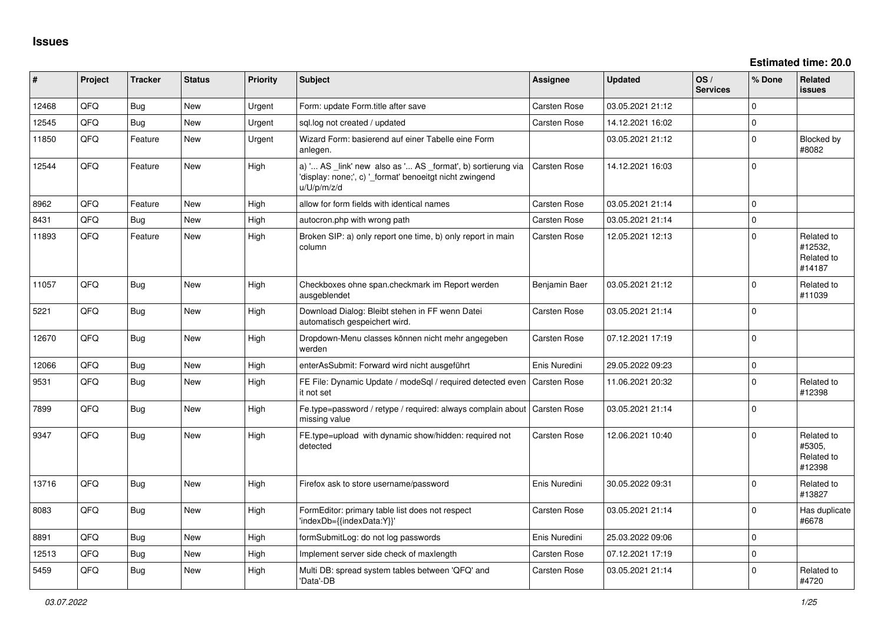| #     | Project | <b>Tracker</b> | <b>Status</b> | <b>Priority</b> | <b>Subject</b>                                                                                                                        | Assignee            | <b>Updated</b>   | OS/<br><b>Services</b> | % Done       | Related<br><b>issues</b>                      |
|-------|---------|----------------|---------------|-----------------|---------------------------------------------------------------------------------------------------------------------------------------|---------------------|------------------|------------------------|--------------|-----------------------------------------------|
| 12468 | QFQ     | Bug            | New           | Urgent          | Form: update Form.title after save                                                                                                    | <b>Carsten Rose</b> | 03.05.2021 21:12 |                        | O            |                                               |
| 12545 | OFO     | Bug            | <b>New</b>    | Urgent          | sql.log not created / updated                                                                                                         | <b>Carsten Rose</b> | 14.12.2021 16:02 |                        | $\Omega$     |                                               |
| 11850 | QFQ     | Feature        | <b>New</b>    | Urgent          | Wizard Form: basierend auf einer Tabelle eine Form<br>anlegen.                                                                        |                     | 03.05.2021 21:12 |                        | $\Omega$     | Blocked by<br>#8082                           |
| 12544 | QFQ     | Feature        | New           | High            | a) ' AS _link' new also as ' AS _format', b) sortierung via<br>'display: none;', c) '_format' benoeitgt nicht zwingend<br>u/U/p/m/z/d | <b>Carsten Rose</b> | 14.12.2021 16:03 |                        | $\Omega$     |                                               |
| 8962  | QFQ     | Feature        | <b>New</b>    | High            | allow for form fields with identical names                                                                                            | <b>Carsten Rose</b> | 03.05.2021 21:14 |                        | $\mathbf{0}$ |                                               |
| 8431  | QFQ     | Bug            | <b>New</b>    | High            | autocron.php with wrong path                                                                                                          | <b>Carsten Rose</b> | 03.05.2021 21:14 |                        | $\Omega$     |                                               |
| 11893 | QFQ     | Feature        | <b>New</b>    | High            | Broken SIP: a) only report one time, b) only report in main<br>column                                                                 | <b>Carsten Rose</b> | 12.05.2021 12:13 |                        | $\Omega$     | Related to<br>#12532.<br>Related to<br>#14187 |
| 11057 | QFQ     | Bug            | <b>New</b>    | High            | Checkboxes ohne span.checkmark im Report werden<br>ausgeblendet                                                                       | Benjamin Baer       | 03.05.2021 21:12 |                        | $\Omega$     | Related to<br>#11039                          |
| 5221  | QFQ     | <b>Bug</b>     | New           | High            | Download Dialog: Bleibt stehen in FF wenn Datei<br>automatisch gespeichert wird.                                                      | <b>Carsten Rose</b> | 03.05.2021 21:14 |                        | $\Omega$     |                                               |
| 12670 | QFQ     | Bug            | <b>New</b>    | High            | Dropdown-Menu classes können nicht mehr angegeben<br>werden                                                                           | <b>Carsten Rose</b> | 07.12.2021 17:19 |                        | $\Omega$     |                                               |
| 12066 | QFQ     | Bug            | <b>New</b>    | High            | enterAsSubmit: Forward wird nicht ausgeführt                                                                                          | Enis Nuredini       | 29.05.2022 09:23 |                        | $\mathbf 0$  |                                               |
| 9531  | QFQ     | Bug            | <b>New</b>    | High            | FE File: Dynamic Update / modeSql / required detected even   Carsten Rose<br>it not set                                               |                     | 11.06.2021 20:32 |                        | $\Omega$     | Related to<br>#12398                          |
| 7899  | QFQ     | Bug            | <b>New</b>    | High            | Fe.type=password / retype / required: always complain about   Carsten Rose<br>missing value                                           |                     | 03.05.2021 21:14 |                        | $\Omega$     |                                               |
| 9347  | QFQ     | Bug            | <b>New</b>    | High            | FE.type=upload with dynamic show/hidden: required not<br>detected                                                                     | <b>Carsten Rose</b> | 12.06.2021 10:40 |                        | $\Omega$     | Related to<br>#5305,<br>Related to<br>#12398  |
| 13716 | QFQ     | Bug            | <b>New</b>    | High            | Firefox ask to store username/password                                                                                                | Enis Nuredini       | 30.05.2022 09:31 |                        | $\Omega$     | Related to<br>#13827                          |
| 8083  | QFQ     | Bug            | New           | High            | FormEditor: primary table list does not respect<br>'indexDb={{indexData:Y}}'                                                          | <b>Carsten Rose</b> | 03.05.2021 21:14 |                        | $\Omega$     | Has duplicate<br>#6678                        |
| 8891  | QFQ     | Bug            | <b>New</b>    | High            | formSubmitLog: do not log passwords                                                                                                   | Enis Nuredini       | 25.03.2022 09:06 |                        | $\Omega$     |                                               |
| 12513 | QFQ     | Bug            | <b>New</b>    | High            | Implement server side check of maxlength                                                                                              | Carsten Rose        | 07.12.2021 17:19 |                        | $\Omega$     |                                               |
| 5459  | QFQ     | Bug            | <b>New</b>    | High            | Multi DB: spread system tables between 'QFQ' and<br>'Data'-DB                                                                         | Carsten Rose        | 03.05.2021 21:14 |                        | $\Omega$     | Related to<br>#4720                           |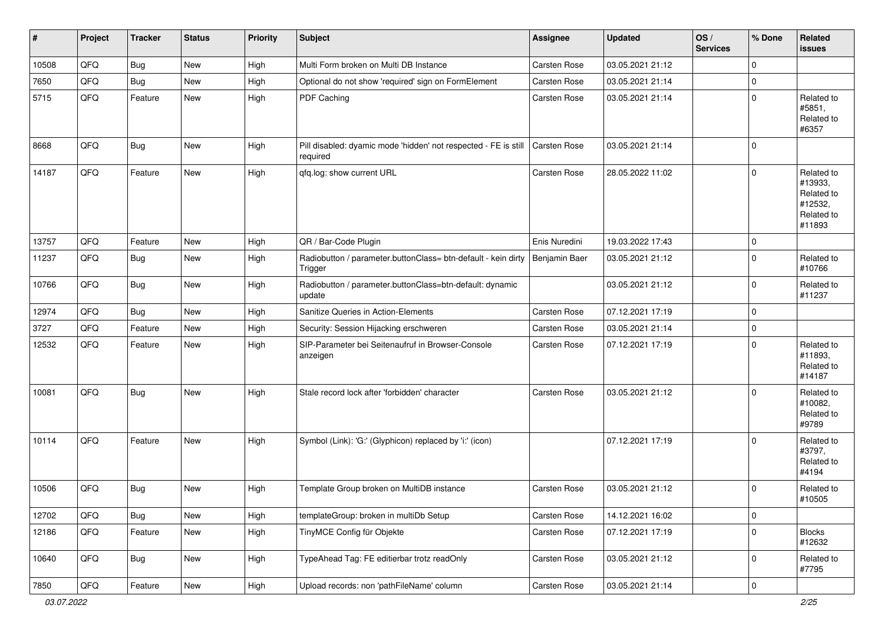| #     | Project | <b>Tracker</b> | <b>Status</b> | <b>Priority</b> | <b>Subject</b>                                                              | <b>Assignee</b> | <b>Updated</b>   | OS/<br><b>Services</b> | % Done       | Related<br><b>issues</b>                                               |
|-------|---------|----------------|---------------|-----------------|-----------------------------------------------------------------------------|-----------------|------------------|------------------------|--------------|------------------------------------------------------------------------|
| 10508 | QFQ     | Bug            | New           | High            | Multi Form broken on Multi DB Instance                                      | Carsten Rose    | 03.05.2021 21:12 |                        | $\mathbf 0$  |                                                                        |
| 7650  | QFQ     | Bug            | New           | High            | Optional do not show 'required' sign on FormElement                         | Carsten Rose    | 03.05.2021 21:14 |                        | $\mathbf 0$  |                                                                        |
| 5715  | QFQ     | Feature        | New           | High            | PDF Caching                                                                 | Carsten Rose    | 03.05.2021 21:14 |                        | $\mathbf 0$  | Related to<br>#5851,<br>Related to<br>#6357                            |
| 8668  | QFQ     | Bug            | New           | High            | Pill disabled: dyamic mode 'hidden' not respected - FE is still<br>required | Carsten Rose    | 03.05.2021 21:14 |                        | $\mathbf 0$  |                                                                        |
| 14187 | QFQ     | Feature        | New           | High            | qfq.log: show current URL                                                   | Carsten Rose    | 28.05.2022 11:02 |                        | $\mathbf 0$  | Related to<br>#13933,<br>Related to<br>#12532,<br>Related to<br>#11893 |
| 13757 | QFQ     | Feature        | <b>New</b>    | High            | QR / Bar-Code Plugin                                                        | Enis Nuredini   | 19.03.2022 17:43 |                        | $\mathbf 0$  |                                                                        |
| 11237 | QFQ     | Bug            | New           | High            | Radiobutton / parameter.buttonClass= btn-default - kein dirty<br>Trigger    | Benjamin Baer   | 03.05.2021 21:12 |                        | $\mathbf 0$  | Related to<br>#10766                                                   |
| 10766 | QFQ     | <b>Bug</b>     | New           | High            | Radiobutton / parameter.buttonClass=btn-default: dynamic<br>update          |                 | 03.05.2021 21:12 |                        | $\mathbf 0$  | Related to<br>#11237                                                   |
| 12974 | QFQ     | Bug            | New           | High            | Sanitize Queries in Action-Elements                                         | Carsten Rose    | 07.12.2021 17:19 |                        | $\mathbf 0$  |                                                                        |
| 3727  | QFQ     | Feature        | <b>New</b>    | High            | Security: Session Hijacking erschweren                                      | Carsten Rose    | 03.05.2021 21:14 |                        | $\mathbf 0$  |                                                                        |
| 12532 | QFQ     | Feature        | New           | High            | SIP-Parameter bei Seitenaufruf in Browser-Console<br>anzeigen               | Carsten Rose    | 07.12.2021 17:19 |                        | $\mathbf 0$  | Related to<br>#11893,<br>Related to<br>#14187                          |
| 10081 | QFQ     | <b>Bug</b>     | New           | High            | Stale record lock after 'forbidden' character                               | Carsten Rose    | 03.05.2021 21:12 |                        | $\mathbf 0$  | Related to<br>#10082,<br>Related to<br>#9789                           |
| 10114 | QFQ     | Feature        | New           | High            | Symbol (Link): 'G:' (Glyphicon) replaced by 'i:' (icon)                     |                 | 07.12.2021 17:19 |                        | $\mathbf 0$  | Related to<br>#3797,<br>Related to<br>#4194                            |
| 10506 | QFQ     | <b>Bug</b>     | New           | High            | Template Group broken on MultiDB instance                                   | Carsten Rose    | 03.05.2021 21:12 |                        | $\Omega$     | Related to<br>#10505                                                   |
| 12702 | QFQ     | <b>Bug</b>     | New           | High            | templateGroup: broken in multiDb Setup                                      | Carsten Rose    | 14.12.2021 16:02 |                        | 0            |                                                                        |
| 12186 | QFQ     | Feature        | New           | High            | TinyMCE Config für Objekte                                                  | Carsten Rose    | 07.12.2021 17:19 |                        | 0            | <b>Blocks</b><br>#12632                                                |
| 10640 | QFQ     | <b>Bug</b>     | New           | High            | TypeAhead Tag: FE editierbar trotz readOnly                                 | Carsten Rose    | 03.05.2021 21:12 |                        | $\mathsf{O}$ | Related to<br>#7795                                                    |
| 7850  | QFQ     | Feature        | New           | High            | Upload records: non 'pathFileName' column                                   | Carsten Rose    | 03.05.2021 21:14 |                        | $\pmb{0}$    |                                                                        |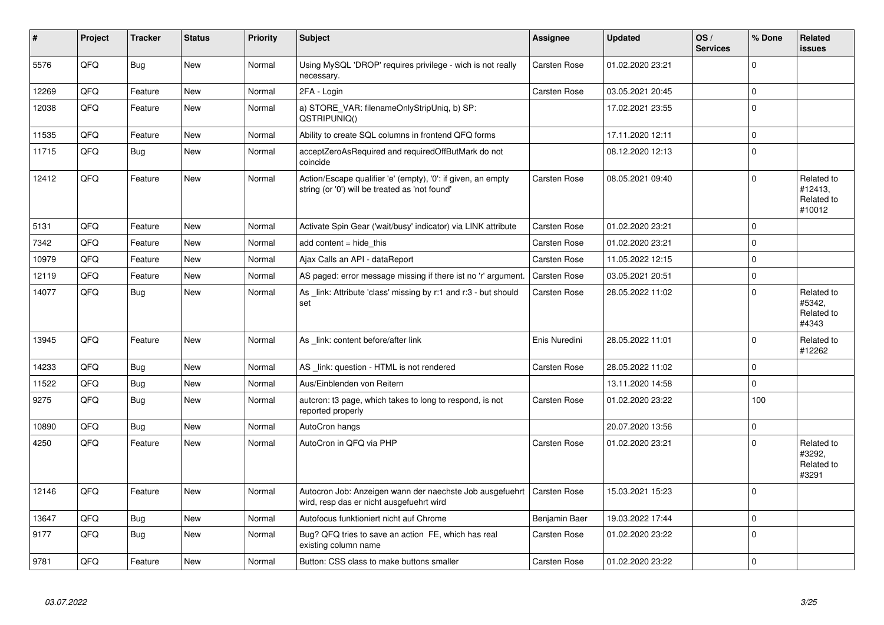| $\vert$ # | Project | <b>Tracker</b> | <b>Status</b> | <b>Priority</b> | <b>Subject</b>                                                                                                 | <b>Assignee</b>     | <b>Updated</b>   | OS/<br><b>Services</b> | % Done      | <b>Related</b><br><b>issues</b>               |
|-----------|---------|----------------|---------------|-----------------|----------------------------------------------------------------------------------------------------------------|---------------------|------------------|------------------------|-------------|-----------------------------------------------|
| 5576      | QFQ     | Bug            | New           | Normal          | Using MySQL 'DROP' requires privilege - wich is not really<br>necessary.                                       | Carsten Rose        | 01.02.2020 23:21 |                        | $\Omega$    |                                               |
| 12269     | QFQ     | Feature        | <b>New</b>    | Normal          | 2FA - Login                                                                                                    | Carsten Rose        | 03.05.2021 20:45 |                        | $\mathbf 0$ |                                               |
| 12038     | QFQ     | Feature        | <b>New</b>    | Normal          | a) STORE_VAR: filenameOnlyStripUniq, b) SP:<br>QSTRIPUNIQ()                                                    |                     | 17.02.2021 23:55 |                        | $\Omega$    |                                               |
| 11535     | QFQ     | Feature        | <b>New</b>    | Normal          | Ability to create SQL columns in frontend QFQ forms                                                            |                     | 17.11.2020 12:11 |                        | $\mathbf 0$ |                                               |
| 11715     | QFQ     | Bug            | New           | Normal          | acceptZeroAsRequired and requiredOffButMark do not<br>coincide                                                 |                     | 08.12.2020 12:13 |                        | $\mathbf 0$ |                                               |
| 12412     | QFQ     | Feature        | New           | Normal          | Action/Escape qualifier 'e' (empty), '0': if given, an empty<br>string (or '0') will be treated as 'not found' | Carsten Rose        | 08.05.2021 09:40 |                        | $\Omega$    | Related to<br>#12413,<br>Related to<br>#10012 |
| 5131      | QFQ     | Feature        | <b>New</b>    | Normal          | Activate Spin Gear ('wait/busy' indicator) via LINK attribute                                                  | Carsten Rose        | 01.02.2020 23:21 |                        | $\mathbf 0$ |                                               |
| 7342      | QFQ     | Feature        | <b>New</b>    | Normal          | add content $=$ hide this                                                                                      | Carsten Rose        | 01.02.2020 23:21 |                        | $\Omega$    |                                               |
| 10979     | QFQ     | Feature        | <b>New</b>    | Normal          | Ajax Calls an API - dataReport                                                                                 | Carsten Rose        | 11.05.2022 12:15 |                        | $\mathbf 0$ |                                               |
| 12119     | QFQ     | Feature        | <b>New</b>    | Normal          | AS paged: error message missing if there ist no 'r' argument.                                                  | Carsten Rose        | 03.05.2021 20:51 |                        | $\mathbf 0$ |                                               |
| 14077     | QFQ     | <b>Bug</b>     | New           | Normal          | As _link: Attribute 'class' missing by r:1 and r:3 - but should<br>set                                         | Carsten Rose        | 28.05.2022 11:02 |                        | $\Omega$    | Related to<br>#5342,<br>Related to<br>#4343   |
| 13945     | QFQ     | Feature        | <b>New</b>    | Normal          | As link: content before/after link                                                                             | Enis Nuredini       | 28.05.2022 11:01 |                        | $\Omega$    | Related to<br>#12262                          |
| 14233     | QFQ     | Bug            | <b>New</b>    | Normal          | AS _link: question - HTML is not rendered                                                                      | Carsten Rose        | 28.05.2022 11:02 |                        | $\mathbf 0$ |                                               |
| 11522     | QFQ     | Bug            | <b>New</b>    | Normal          | Aus/Einblenden von Reitern                                                                                     |                     | 13.11.2020 14:58 |                        | $\mathbf 0$ |                                               |
| 9275      | QFQ     | Bug            | <b>New</b>    | Normal          | autcron: t3 page, which takes to long to respond, is not<br>reported properly                                  | Carsten Rose        | 01.02.2020 23:22 |                        | 100         |                                               |
| 10890     | QFQ     | Bug            | <b>New</b>    | Normal          | AutoCron hangs                                                                                                 |                     | 20.07.2020 13:56 |                        | $\mathbf 0$ |                                               |
| 4250      | QFQ     | Feature        | <b>New</b>    | Normal          | AutoCron in QFQ via PHP                                                                                        | <b>Carsten Rose</b> | 01.02.2020 23:21 |                        | $\Omega$    | Related to<br>#3292,<br>Related to<br>#3291   |
| 12146     | QFQ     | Feature        | <b>New</b>    | Normal          | Autocron Job: Anzeigen wann der naechste Job ausgefuehrt<br>wird, resp das er nicht ausgefuehrt wird           | Carsten Rose        | 15.03.2021 15:23 |                        | $\Omega$    |                                               |
| 13647     | QFQ     | <b>Bug</b>     | <b>New</b>    | Normal          | Autofocus funktioniert nicht auf Chrome                                                                        | Benjamin Baer       | 19.03.2022 17:44 |                        | $\mathbf 0$ |                                               |
| 9177      | QFQ     | Bug            | <b>New</b>    | Normal          | Bug? QFQ tries to save an action FE, which has real<br>existing column name                                    | Carsten Rose        | 01.02.2020 23:22 |                        | $\Omega$    |                                               |
| 9781      | QFQ     | Feature        | <b>New</b>    | Normal          | Button: CSS class to make buttons smaller                                                                      | Carsten Rose        | 01.02.2020 23:22 |                        | $\mathbf 0$ |                                               |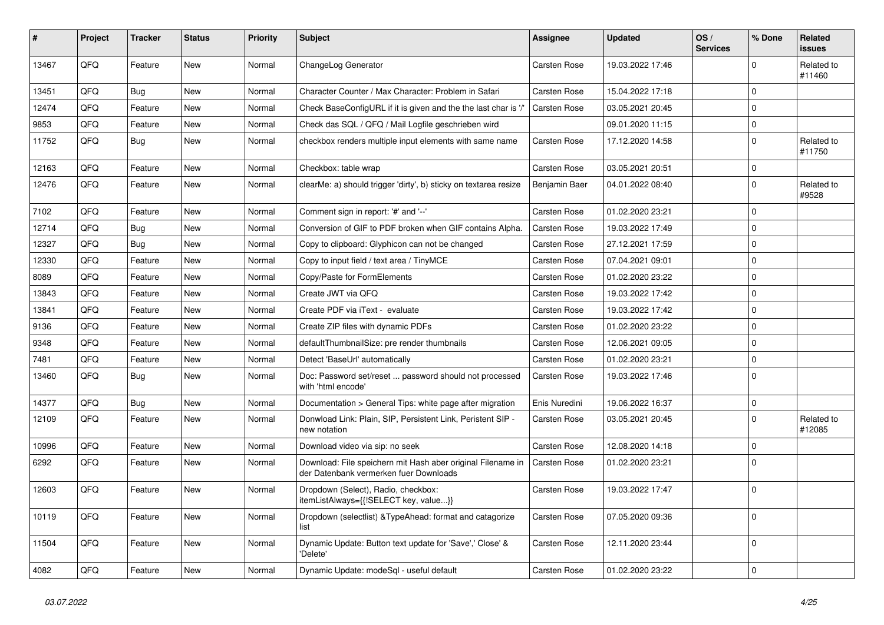| #     | Project | <b>Tracker</b> | <b>Status</b> | <b>Priority</b> | <b>Subject</b>                                                                                        | <b>Assignee</b>     | <b>Updated</b>   | OS/<br><b>Services</b> | % Done       | Related<br><b>issues</b> |
|-------|---------|----------------|---------------|-----------------|-------------------------------------------------------------------------------------------------------|---------------------|------------------|------------------------|--------------|--------------------------|
| 13467 | QFQ     | Feature        | <b>New</b>    | Normal          | ChangeLog Generator                                                                                   | Carsten Rose        | 19.03.2022 17:46 |                        | $\mathbf{0}$ | Related to<br>#11460     |
| 13451 | QFQ     | <b>Bug</b>     | <b>New</b>    | Normal          | Character Counter / Max Character: Problem in Safari                                                  | Carsten Rose        | 15.04.2022 17:18 |                        | 0            |                          |
| 12474 | QFQ     | Feature        | <b>New</b>    | Normal          | Check BaseConfigURL if it is given and the the last char is '/'                                       | <b>Carsten Rose</b> | 03.05.2021 20:45 |                        | $\mathbf 0$  |                          |
| 9853  | QFQ     | Feature        | <b>New</b>    | Normal          | Check das SQL / QFQ / Mail Logfile geschrieben wird                                                   |                     | 09.01.2020 11:15 |                        | $\mathbf 0$  |                          |
| 11752 | QFQ     | <b>Bug</b>     | New           | Normal          | checkbox renders multiple input elements with same name                                               | Carsten Rose        | 17.12.2020 14:58 |                        | $\mathbf 0$  | Related to<br>#11750     |
| 12163 | QFQ     | Feature        | New           | Normal          | Checkbox: table wrap                                                                                  | Carsten Rose        | 03.05.2021 20:51 |                        | $\pmb{0}$    |                          |
| 12476 | QFQ     | Feature        | New           | Normal          | clearMe: a) should trigger 'dirty', b) sticky on textarea resize                                      | Benjamin Baer       | 04.01.2022 08:40 |                        | $\mathbf 0$  | Related to<br>#9528      |
| 7102  | QFQ     | Feature        | <b>New</b>    | Normal          | Comment sign in report: '#' and '--'                                                                  | Carsten Rose        | 01.02.2020 23:21 |                        | $\pmb{0}$    |                          |
| 12714 | QFQ     | <b>Bug</b>     | <b>New</b>    | Normal          | Conversion of GIF to PDF broken when GIF contains Alpha.                                              | Carsten Rose        | 19.03.2022 17:49 |                        | $\pmb{0}$    |                          |
| 12327 | QFQ     | Bug            | <b>New</b>    | Normal          | Copy to clipboard: Glyphicon can not be changed                                                       | Carsten Rose        | 27.12.2021 17:59 |                        | $\mathbf 0$  |                          |
| 12330 | QFQ     | Feature        | <b>New</b>    | Normal          | Copy to input field / text area / TinyMCE                                                             | Carsten Rose        | 07.04.2021 09:01 |                        | $\mathbf 0$  |                          |
| 8089  | QFQ     | Feature        | <b>New</b>    | Normal          | Copy/Paste for FormElements                                                                           | Carsten Rose        | 01.02.2020 23:22 |                        | $\mathbf 0$  |                          |
| 13843 | QFQ     | Feature        | New           | Normal          | Create JWT via QFQ                                                                                    | Carsten Rose        | 19.03.2022 17:42 |                        | $\pmb{0}$    |                          |
| 13841 | QFQ     | Feature        | <b>New</b>    | Normal          | Create PDF via iText - evaluate                                                                       | Carsten Rose        | 19.03.2022 17:42 |                        | $\mathbf 0$  |                          |
| 9136  | QFQ     | Feature        | <b>New</b>    | Normal          | Create ZIP files with dynamic PDFs                                                                    | Carsten Rose        | 01.02.2020 23:22 |                        | 0            |                          |
| 9348  | QFQ     | Feature        | New           | Normal          | defaultThumbnailSize: pre render thumbnails                                                           | Carsten Rose        | 12.06.2021 09:05 |                        | $\mathbf 0$  |                          |
| 7481  | QFQ     | Feature        | <b>New</b>    | Normal          | Detect 'BaseUrl' automatically                                                                        | Carsten Rose        | 01.02.2020 23:21 |                        | $\pmb{0}$    |                          |
| 13460 | QFQ     | <b>Bug</b>     | <b>New</b>    | Normal          | Doc: Password set/reset  password should not processed<br>with 'html encode'                          | Carsten Rose        | 19.03.2022 17:46 |                        | $\mathbf 0$  |                          |
| 14377 | QFQ     | <b>Bug</b>     | <b>New</b>    | Normal          | Documentation > General Tips: white page after migration                                              | Enis Nuredini       | 19.06.2022 16:37 |                        | $\pmb{0}$    |                          |
| 12109 | QFQ     | Feature        | New           | Normal          | Donwload Link: Plain, SIP, Persistent Link, Peristent SIP -<br>new notation                           | Carsten Rose        | 03.05.2021 20:45 |                        | $\mathbf 0$  | Related to<br>#12085     |
| 10996 | QFQ     | Feature        | <b>New</b>    | Normal          | Download video via sip: no seek                                                                       | Carsten Rose        | 12.08.2020 14:18 |                        | $\pmb{0}$    |                          |
| 6292  | QFQ     | Feature        | New           | Normal          | Download: File speichern mit Hash aber original Filename in<br>der Datenbank vermerken fuer Downloads | Carsten Rose        | 01.02.2020 23:21 |                        | $\pmb{0}$    |                          |
| 12603 | QFQ     | Feature        | <b>New</b>    | Normal          | Dropdown (Select), Radio, checkbox:<br>itemListAlways={{!SELECT key, value}}                          | Carsten Rose        | 19.03.2022 17:47 |                        | $\mathbf 0$  |                          |
| 10119 | QFQ     | Feature        | New           | Normal          | Dropdown (selectlist) & Type Ahead: format and catagorize<br>list                                     | Carsten Rose        | 07.05.2020 09:36 |                        | 0            |                          |
| 11504 | QFQ     | Feature        | <b>New</b>    | Normal          | Dynamic Update: Button text update for 'Save',' Close' &<br>'Delete'                                  | Carsten Rose        | 12.11.2020 23:44 |                        | $\pmb{0}$    |                          |
| 4082  | QFQ     | Feature        | <b>New</b>    | Normal          | Dynamic Update: modeSql - useful default                                                              | Carsten Rose        | 01.02.2020 23:22 |                        | $\pmb{0}$    |                          |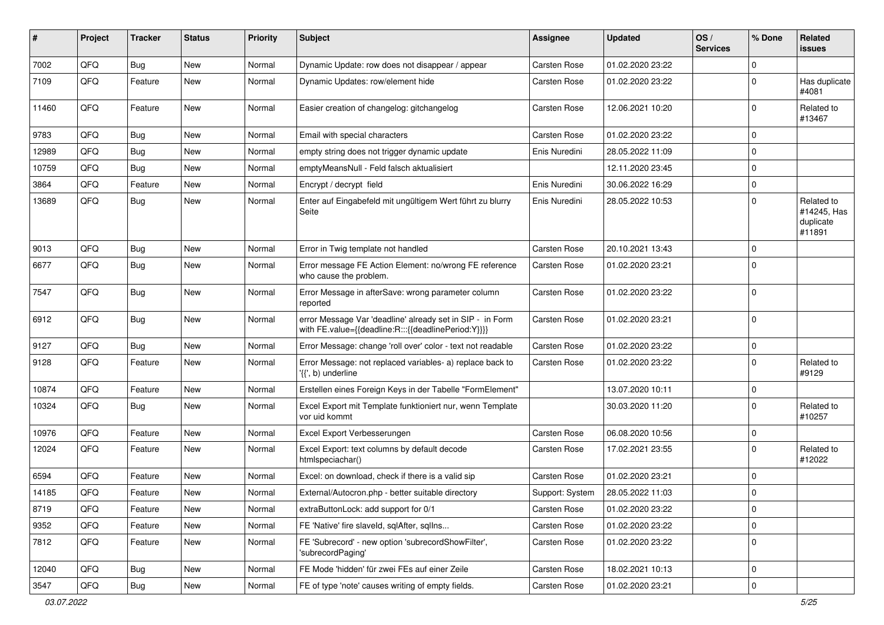| #     | Project | <b>Tracker</b> | <b>Status</b> | <b>Priority</b> | <b>Subject</b>                                                                                                   | <b>Assignee</b> | <b>Updated</b>   | OS/<br><b>Services</b> | % Done      | Related<br>issues                                |
|-------|---------|----------------|---------------|-----------------|------------------------------------------------------------------------------------------------------------------|-----------------|------------------|------------------------|-------------|--------------------------------------------------|
| 7002  | QFQ     | <b>Bug</b>     | <b>New</b>    | Normal          | Dynamic Update: row does not disappear / appear                                                                  | Carsten Rose    | 01.02.2020 23:22 |                        | $\Omega$    |                                                  |
| 7109  | QFQ     | Feature        | New           | Normal          | Dynamic Updates: row/element hide                                                                                | Carsten Rose    | 01.02.2020 23:22 |                        | $\Omega$    | Has duplicate<br>#4081                           |
| 11460 | QFQ     | Feature        | <b>New</b>    | Normal          | Easier creation of changelog: gitchangelog                                                                       | Carsten Rose    | 12.06.2021 10:20 |                        | $\Omega$    | Related to<br>#13467                             |
| 9783  | QFQ     | <b>Bug</b>     | <b>New</b>    | Normal          | Email with special characters                                                                                    | Carsten Rose    | 01.02.2020 23:22 |                        | $\Omega$    |                                                  |
| 12989 | QFQ     | Bug            | <b>New</b>    | Normal          | empty string does not trigger dynamic update                                                                     | Enis Nuredini   | 28.05.2022 11:09 |                        | $\Omega$    |                                                  |
| 10759 | QFQ     | Bug            | <b>New</b>    | Normal          | emptyMeansNull - Feld falsch aktualisiert                                                                        |                 | 12.11.2020 23:45 |                        | $\Omega$    |                                                  |
| 3864  | QFQ     | Feature        | New           | Normal          | Encrypt / decrypt field                                                                                          | Enis Nuredini   | 30.06.2022 16:29 |                        | $\Omega$    |                                                  |
| 13689 | QFQ     | Bug            | <b>New</b>    | Normal          | Enter auf Eingabefeld mit ungültigem Wert führt zu blurry<br>Seite                                               | Enis Nuredini   | 28.05.2022 10:53 |                        | $\Omega$    | Related to<br>#14245, Has<br>duplicate<br>#11891 |
| 9013  | QFQ     | Bug            | <b>New</b>    | Normal          | Error in Twig template not handled                                                                               | Carsten Rose    | 20.10.2021 13:43 |                        | $\Omega$    |                                                  |
| 6677  | QFQ     | Bug            | <b>New</b>    | Normal          | Error message FE Action Element: no/wrong FE reference<br>who cause the problem.                                 | Carsten Rose    | 01.02.2020 23:21 |                        | $\Omega$    |                                                  |
| 7547  | QFQ     | Bug            | New           | Normal          | Error Message in afterSave: wrong parameter column<br>reported                                                   | Carsten Rose    | 01.02.2020 23:22 |                        | $\mathbf 0$ |                                                  |
| 6912  | QFQ     | Bug            | <b>New</b>    | Normal          | error Message Var 'deadline' already set in SIP - in Form<br>with FE.value={{deadline:R:::{{deadlinePeriod:Y}}}} | Carsten Rose    | 01.02.2020 23:21 |                        | $\Omega$    |                                                  |
| 9127  | QFQ     | <b>Bug</b>     | <b>New</b>    | Normal          | Error Message: change 'roll over' color - text not readable                                                      | Carsten Rose    | 01.02.2020 23:22 |                        | $\mathbf 0$ |                                                  |
| 9128  | QFQ     | Feature        | New           | Normal          | Error Message: not replaced variables- a) replace back to<br>'{{', b) underline                                  | Carsten Rose    | 01.02.2020 23:22 |                        | $\Omega$    | Related to<br>#9129                              |
| 10874 | QFQ     | Feature        | <b>New</b>    | Normal          | Erstellen eines Foreign Keys in der Tabelle "FormElement"                                                        |                 | 13.07.2020 10:11 |                        | $\Omega$    |                                                  |
| 10324 | QFQ     | Bug            | New           | Normal          | Excel Export mit Template funktioniert nur, wenn Template<br>vor uid kommt                                       |                 | 30.03.2020 11:20 |                        | $\Omega$    | Related to<br>#10257                             |
| 10976 | QFQ     | Feature        | <b>New</b>    | Normal          | Excel Export Verbesserungen                                                                                      | Carsten Rose    | 06.08.2020 10:56 |                        | $\Omega$    |                                                  |
| 12024 | QFQ     | Feature        | New           | Normal          | Excel Export: text columns by default decode<br>htmlspeciachar()                                                 | Carsten Rose    | 17.02.2021 23:55 |                        | $\Omega$    | Related to<br>#12022                             |
| 6594  | QFQ     | Feature        | <b>New</b>    | Normal          | Excel: on download, check if there is a valid sip                                                                | Carsten Rose    | 01.02.2020 23:21 |                        | $\Omega$    |                                                  |
| 14185 | QFQ     | Feature        | New           | Normal          | External/Autocron.php - better suitable directory                                                                | Support: System | 28.05.2022 11:03 |                        | $\Omega$    |                                                  |
| 8719  | QFQ     | Feature        | New           | Normal          | extraButtonLock: add support for 0/1                                                                             | Carsten Rose    | 01.02.2020 23:22 |                        | 0           |                                                  |
| 9352  | QFQ     | Feature        | New           | Normal          | FE 'Native' fire slaveld, sqlAfter, sqlIns                                                                       | Carsten Rose    | 01.02.2020 23:22 |                        | 0           |                                                  |
| 7812  | QFQ     | Feature        | New           | Normal          | FE 'Subrecord' - new option 'subrecordShowFilter',<br>'subrecordPaging'                                          | Carsten Rose    | 01.02.2020 23:22 |                        | 0           |                                                  |
| 12040 | QFQ     | Bug            | New           | Normal          | FE Mode 'hidden' für zwei FEs auf einer Zeile                                                                    | Carsten Rose    | 18.02.2021 10:13 |                        | $\mathbf 0$ |                                                  |
| 3547  | QFG     | Bug            | New           | Normal          | FE of type 'note' causes writing of empty fields.                                                                | Carsten Rose    | 01.02.2020 23:21 |                        | $\pmb{0}$   |                                                  |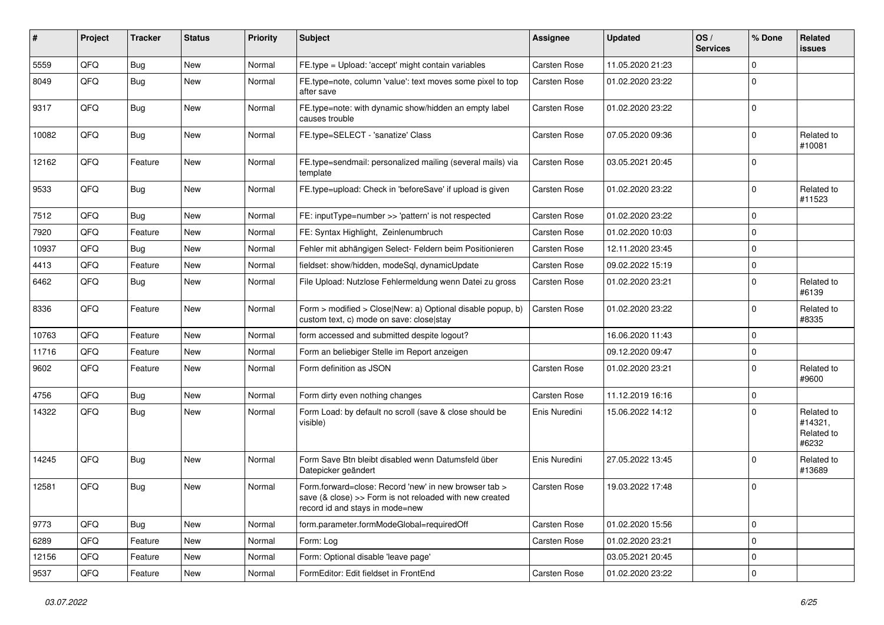| #     | Project | <b>Tracker</b> | <b>Status</b> | <b>Priority</b> | <b>Subject</b>                                                                                                                                      | <b>Assignee</b> | <b>Updated</b>   | OS/<br><b>Services</b> | % Done       | Related<br><b>issues</b>                     |
|-------|---------|----------------|---------------|-----------------|-----------------------------------------------------------------------------------------------------------------------------------------------------|-----------------|------------------|------------------------|--------------|----------------------------------------------|
| 5559  | QFQ     | Bug            | <b>New</b>    | Normal          | FE.type = Upload: 'accept' might contain variables                                                                                                  | Carsten Rose    | 11.05.2020 21:23 |                        | 0            |                                              |
| 8049  | QFQ     | Bug            | <b>New</b>    | Normal          | FE.type=note, column 'value': text moves some pixel to top<br>after save                                                                            | Carsten Rose    | 01.02.2020 23:22 |                        | 0            |                                              |
| 9317  | QFQ     | Bug            | New           | Normal          | FE.type=note: with dynamic show/hidden an empty label<br>causes trouble                                                                             | Carsten Rose    | 01.02.2020 23:22 |                        | $\mathbf 0$  |                                              |
| 10082 | QFQ     | Bug            | New           | Normal          | FE.type=SELECT - 'sanatize' Class                                                                                                                   | Carsten Rose    | 07.05.2020 09:36 |                        | $\mathbf 0$  | Related to<br>#10081                         |
| 12162 | QFQ     | Feature        | <b>New</b>    | Normal          | FE.type=sendmail: personalized mailing (several mails) via<br>template                                                                              | Carsten Rose    | 03.05.2021 20:45 |                        | 0            |                                              |
| 9533  | QFQ     | <b>Bug</b>     | <b>New</b>    | Normal          | FE.type=upload: Check in 'beforeSave' if upload is given                                                                                            | Carsten Rose    | 01.02.2020 23:22 |                        | $\mathbf 0$  | Related to<br>#11523                         |
| 7512  | QFQ     | Bug            | <b>New</b>    | Normal          | FE: inputType=number >> 'pattern' is not respected                                                                                                  | Carsten Rose    | 01.02.2020 23:22 |                        | 0            |                                              |
| 7920  | QFQ     | Feature        | <b>New</b>    | Normal          | FE: Syntax Highlight, Zeinlenumbruch                                                                                                                | Carsten Rose    | 01.02.2020 10:03 |                        | 0            |                                              |
| 10937 | QFQ     | <b>Bug</b>     | <b>New</b>    | Normal          | Fehler mit abhängigen Select- Feldern beim Positionieren                                                                                            | Carsten Rose    | 12.11.2020 23:45 |                        | $\mathbf 0$  |                                              |
| 4413  | QFQ     | Feature        | <b>New</b>    | Normal          | fieldset: show/hidden, modeSql, dynamicUpdate                                                                                                       | Carsten Rose    | 09.02.2022 15:19 |                        | 0            |                                              |
| 6462  | QFQ     | <b>Bug</b>     | New           | Normal          | File Upload: Nutzlose Fehlermeldung wenn Datei zu gross                                                                                             | Carsten Rose    | 01.02.2020 23:21 |                        | 0            | Related to<br>#6139                          |
| 8336  | QFQ     | Feature        | New           | Normal          | Form > modified > Close New: a) Optional disable popup, b)<br>custom text, c) mode on save: close stay                                              | Carsten Rose    | 01.02.2020 23:22 |                        | $\mathbf 0$  | Related to<br>#8335                          |
| 10763 | QFQ     | Feature        | New           | Normal          | form accessed and submitted despite logout?                                                                                                         |                 | 16.06.2020 11:43 |                        | 0            |                                              |
| 11716 | QFQ     | Feature        | <b>New</b>    | Normal          | Form an beliebiger Stelle im Report anzeigen                                                                                                        |                 | 09.12.2020 09:47 |                        | 0            |                                              |
| 9602  | QFQ     | Feature        | New           | Normal          | Form definition as JSON                                                                                                                             | Carsten Rose    | 01.02.2020 23:21 |                        | $\mathbf 0$  | Related to<br>#9600                          |
| 4756  | QFQ     | Bug            | New           | Normal          | Form dirty even nothing changes                                                                                                                     | Carsten Rose    | 11.12.2019 16:16 |                        | 0            |                                              |
| 14322 | QFQ     | Bug            | New           | Normal          | Form Load: by default no scroll (save & close should be<br>visible)                                                                                 | Enis Nuredini   | 15.06.2022 14:12 |                        | $\mathbf 0$  | Related to<br>#14321,<br>Related to<br>#6232 |
| 14245 | QFQ     | Bug            | <b>New</b>    | Normal          | Form Save Btn bleibt disabled wenn Datumsfeld über<br>Datepicker geändert                                                                           | Enis Nuredini   | 27.05.2022 13:45 |                        | 0            | Related to<br>#13689                         |
| 12581 | QFQ     | Bug            | <b>New</b>    | Normal          | Form.forward=close: Record 'new' in new browser tab ><br>save (& close) >> Form is not reloaded with new created<br>record id and stays in mode=new | Carsten Rose    | 19.03.2022 17:48 |                        | $\mathbf 0$  |                                              |
| 9773  | QFQ     | Bug            | New           | Normal          | form.parameter.formModeGlobal=requiredOff                                                                                                           | Carsten Rose    | 01.02.2020 15:56 |                        | 0            |                                              |
| 6289  | QFQ     | Feature        | New           | Normal          | Form: Log                                                                                                                                           | Carsten Rose    | 01.02.2020 23:21 |                        | 0            |                                              |
| 12156 | QFQ     | Feature        | New           | Normal          | Form: Optional disable 'leave page'                                                                                                                 |                 | 03.05.2021 20:45 |                        | 0            |                                              |
| 9537  | QFQ     | Feature        | New           | Normal          | FormEditor: Edit fieldset in FrontEnd                                                                                                               | Carsten Rose    | 01.02.2020 23:22 |                        | $\mathsf{O}$ |                                              |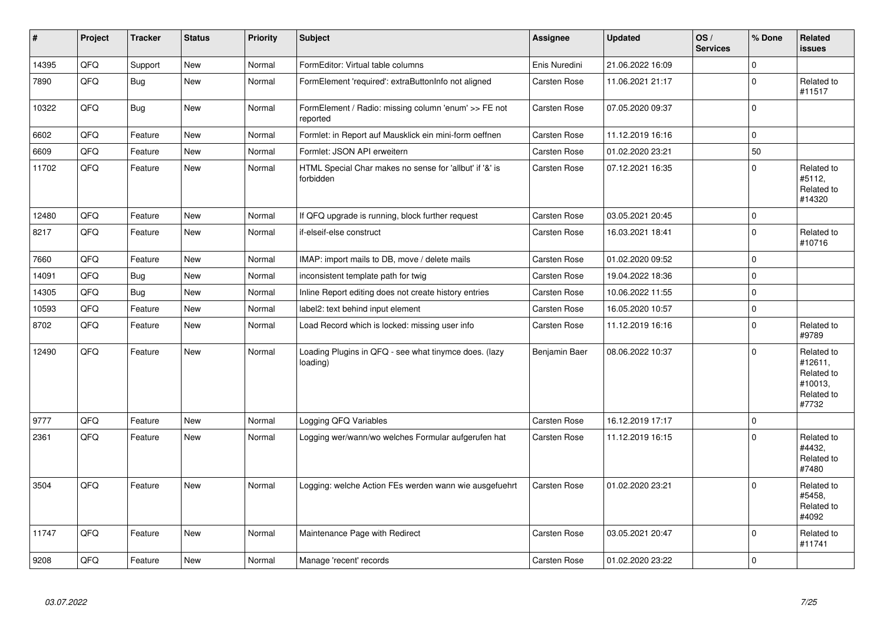| $\vert$ # | Project | <b>Tracker</b> | <b>Status</b> | <b>Priority</b> | <b>Subject</b>                                                       | Assignee      | <b>Updated</b>   | OS/<br><b>Services</b> | % Done      | Related<br>issues                                                     |
|-----------|---------|----------------|---------------|-----------------|----------------------------------------------------------------------|---------------|------------------|------------------------|-------------|-----------------------------------------------------------------------|
| 14395     | QFQ     | Support        | <b>New</b>    | Normal          | FormEditor: Virtual table columns                                    | Enis Nuredini | 21.06.2022 16:09 |                        | $\mathbf 0$ |                                                                       |
| 7890      | QFQ     | Bug            | New           | Normal          | FormElement 'required': extraButtonInfo not aligned                  | Carsten Rose  | 11.06.2021 21:17 |                        | $\pmb{0}$   | Related to<br>#11517                                                  |
| 10322     | QFQ     | <b>Bug</b>     | New           | Normal          | FormElement / Radio: missing column 'enum' >> FE not<br>reported     | Carsten Rose  | 07.05.2020 09:37 |                        | $\pmb{0}$   |                                                                       |
| 6602      | QFQ     | Feature        | <b>New</b>    | Normal          | Formlet: in Report auf Mausklick ein mini-form oeffnen               | Carsten Rose  | 11.12.2019 16:16 |                        | $\mathbf 0$ |                                                                       |
| 6609      | QFQ     | Feature        | New           | Normal          | Formlet: JSON API erweitern                                          | Carsten Rose  | 01.02.2020 23:21 |                        | 50          |                                                                       |
| 11702     | QFQ     | Feature        | New           | Normal          | HTML Special Char makes no sense for 'allbut' if '&' is<br>forbidden | Carsten Rose  | 07.12.2021 16:35 |                        | $\pmb{0}$   | Related to<br>#5112,<br>Related to<br>#14320                          |
| 12480     | QFQ     | Feature        | <b>New</b>    | Normal          | If QFQ upgrade is running, block further request                     | Carsten Rose  | 03.05.2021 20:45 |                        | $\mathbf 0$ |                                                                       |
| 8217      | QFQ     | Feature        | New           | Normal          | if-elseif-else construct                                             | Carsten Rose  | 16.03.2021 18:41 |                        | $\pmb{0}$   | Related to<br>#10716                                                  |
| 7660      | QFQ     | Feature        | <b>New</b>    | Normal          | IMAP: import mails to DB, move / delete mails                        | Carsten Rose  | 01.02.2020 09:52 |                        | $\mathbf 0$ |                                                                       |
| 14091     | QFQ     | Bug            | New           | Normal          | inconsistent template path for twig                                  | Carsten Rose  | 19.04.2022 18:36 |                        | $\pmb{0}$   |                                                                       |
| 14305     | QFQ     | Bug            | New           | Normal          | Inline Report editing does not create history entries                | Carsten Rose  | 10.06.2022 11:55 |                        | 0           |                                                                       |
| 10593     | QFQ     | Feature        | New           | Normal          | label2: text behind input element                                    | Carsten Rose  | 16.05.2020 10:57 |                        | $\pmb{0}$   |                                                                       |
| 8702      | QFQ     | Feature        | New           | Normal          | Load Record which is locked: missing user info                       | Carsten Rose  | 11.12.2019 16:16 |                        | $\pmb{0}$   | Related to<br>#9789                                                   |
| 12490     | QFQ     | Feature        | <b>New</b>    | Normal          | Loading Plugins in QFQ - see what tinymce does. (lazy<br>loading)    | Benjamin Baer | 08.06.2022 10:37 |                        | $\mathbf 0$ | Related to<br>#12611,<br>Related to<br>#10013,<br>Related to<br>#7732 |
| 9777      | QFQ     | Feature        | <b>New</b>    | Normal          | Logging QFQ Variables                                                | Carsten Rose  | 16.12.2019 17:17 |                        | $\pmb{0}$   |                                                                       |
| 2361      | QFQ     | Feature        | <b>New</b>    | Normal          | Logging wer/wann/wo welches Formular aufgerufen hat                  | Carsten Rose  | 11.12.2019 16:15 |                        | $\Omega$    | Related to<br>#4432.<br>Related to<br>#7480                           |
| 3504      | QFQ     | Feature        | New           | Normal          | Logging: welche Action FEs werden wann wie ausgefuehrt               | Carsten Rose  | 01.02.2020 23:21 |                        | $\Omega$    | Related to<br>#5458,<br>Related to<br>#4092                           |
| 11747     | QFQ     | Feature        | New           | Normal          | Maintenance Page with Redirect                                       | Carsten Rose  | 03.05.2021 20:47 |                        | $\mathbf 0$ | Related to<br>#11741                                                  |
| 9208      | QFQ     | Feature        | New           | Normal          | Manage 'recent' records                                              | Carsten Rose  | 01.02.2020 23:22 |                        | $\pmb{0}$   |                                                                       |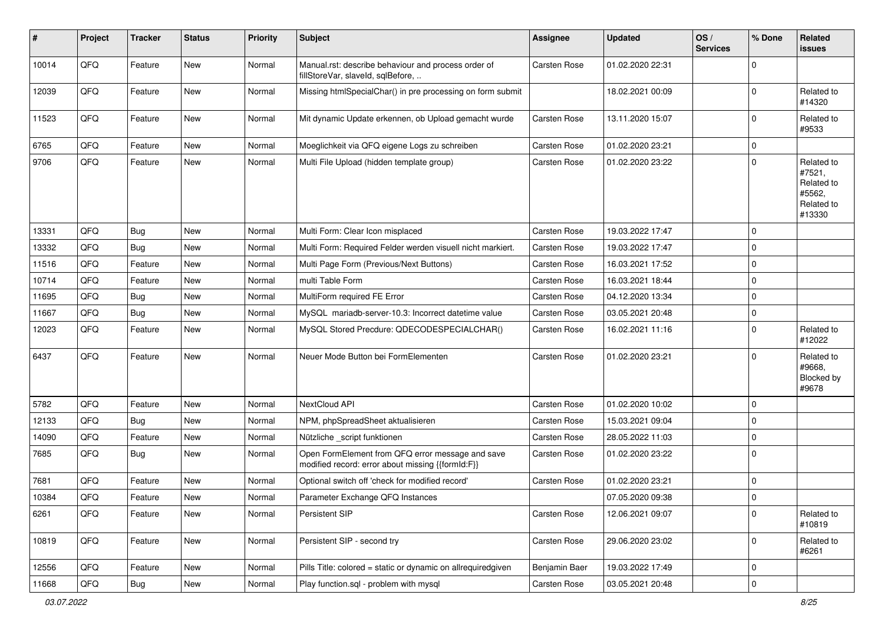| #     | Project | <b>Tracker</b> | <b>Status</b> | <b>Priority</b> | <b>Subject</b>                                                                                        | <b>Assignee</b> | <b>Updated</b>   | OS/<br><b>Services</b> | % Done      | <b>Related</b><br>issues                                             |
|-------|---------|----------------|---------------|-----------------|-------------------------------------------------------------------------------------------------------|-----------------|------------------|------------------------|-------------|----------------------------------------------------------------------|
| 10014 | QFQ     | Feature        | New           | Normal          | Manual.rst: describe behaviour and process order of<br>fillStoreVar, slaveId, sqlBefore,              | Carsten Rose    | 01.02.2020 22:31 |                        | 0           |                                                                      |
| 12039 | QFQ     | Feature        | New           | Normal          | Missing htmlSpecialChar() in pre processing on form submit                                            |                 | 18.02.2021 00:09 |                        | $\mathbf 0$ | Related to<br>#14320                                                 |
| 11523 | QFQ     | Feature        | New           | Normal          | Mit dynamic Update erkennen, ob Upload gemacht wurde                                                  | Carsten Rose    | 13.11.2020 15:07 |                        | $\mathbf 0$ | Related to<br>#9533                                                  |
| 6765  | QFQ     | Feature        | <b>New</b>    | Normal          | Moeglichkeit via QFQ eigene Logs zu schreiben                                                         | Carsten Rose    | 01.02.2020 23:21 |                        | 0           |                                                                      |
| 9706  | QFQ     | Feature        | <b>New</b>    | Normal          | Multi File Upload (hidden template group)                                                             | Carsten Rose    | 01.02.2020 23:22 |                        | $\mathbf 0$ | Related to<br>#7521,<br>Related to<br>#5562,<br>Related to<br>#13330 |
| 13331 | QFQ     | Bug            | New           | Normal          | Multi Form: Clear Icon misplaced                                                                      | Carsten Rose    | 19.03.2022 17:47 |                        | $\Omega$    |                                                                      |
| 13332 | QFQ     | Bug            | New           | Normal          | Multi Form: Required Felder werden visuell nicht markiert.                                            | Carsten Rose    | 19.03.2022 17:47 |                        | $\mathbf 0$ |                                                                      |
| 11516 | QFQ     | Feature        | <b>New</b>    | Normal          | Multi Page Form (Previous/Next Buttons)                                                               | Carsten Rose    | 16.03.2021 17:52 |                        | $\pmb{0}$   |                                                                      |
| 10714 | QFQ     | Feature        | New           | Normal          | multi Table Form                                                                                      | Carsten Rose    | 16.03.2021 18:44 |                        | $\mathbf 0$ |                                                                      |
| 11695 | QFQ     | <b>Bug</b>     | <b>New</b>    | Normal          | MultiForm required FE Error                                                                           | Carsten Rose    | 04.12.2020 13:34 |                        | 0           |                                                                      |
| 11667 | QFQ     | Bug            | <b>New</b>    | Normal          | MySQL mariadb-server-10.3: Incorrect datetime value                                                   | Carsten Rose    | 03.05.2021 20:48 |                        | 0           |                                                                      |
| 12023 | QFQ     | Feature        | New           | Normal          | MySQL Stored Precdure: QDECODESPECIALCHAR()                                                           | Carsten Rose    | 16.02.2021 11:16 |                        | $\mathbf 0$ | Related to<br>#12022                                                 |
| 6437  | QFQ     | Feature        | <b>New</b>    | Normal          | Neuer Mode Button bei FormElementen                                                                   | Carsten Rose    | 01.02.2020 23:21 |                        | $\mathbf 0$ | Related to<br>#9668.<br>Blocked by<br>#9678                          |
| 5782  | QFQ     | Feature        | <b>New</b>    | Normal          | NextCloud API                                                                                         | Carsten Rose    | 01.02.2020 10:02 |                        | 0           |                                                                      |
| 12133 | QFQ     | Bug            | <b>New</b>    | Normal          | NPM, phpSpreadSheet aktualisieren                                                                     | Carsten Rose    | 15.03.2021 09:04 |                        | $\mathbf 0$ |                                                                      |
| 14090 | QFQ     | Feature        | New           | Normal          | Nützliche _script funktionen                                                                          | Carsten Rose    | 28.05.2022 11:03 |                        | $\mathbf 0$ |                                                                      |
| 7685  | QFQ     | <b>Bug</b>     | New           | Normal          | Open FormElement from QFQ error message and save<br>modified record: error about missing {{formId:F}} | Carsten Rose    | 01.02.2020 23:22 |                        | $\mathbf 0$ |                                                                      |
| 7681  | QFQ     | Feature        | New           | Normal          | Optional switch off 'check for modified record'                                                       | Carsten Rose    | 01.02.2020 23:21 |                        | $\mathbf 0$ |                                                                      |
| 10384 | QFQ     | Feature        | New           | Normal          | Parameter Exchange QFQ Instances                                                                      |                 | 07.05.2020 09:38 |                        | $\Omega$    |                                                                      |
| 6261  | QFQ     | Feature        | New           | Normal          | Persistent SIP                                                                                        | Carsten Rose    | 12.06.2021 09:07 |                        | $\mathbf 0$ | Related to<br>#10819                                                 |
| 10819 | QFQ     | Feature        | New           | Normal          | Persistent SIP - second try                                                                           | Carsten Rose    | 29.06.2020 23:02 |                        | $\mathbf 0$ | Related to<br>#6261                                                  |
| 12556 | QFQ     | Feature        | New           | Normal          | Pills Title: colored = static or dynamic on allrequiredgiven                                          | Benjamin Baer   | 19.03.2022 17:49 |                        | $\pmb{0}$   |                                                                      |
| 11668 | QFQ     | Bug            | New           | Normal          | Play function.sql - problem with mysql                                                                | Carsten Rose    | 03.05.2021 20:48 |                        | $\pmb{0}$   |                                                                      |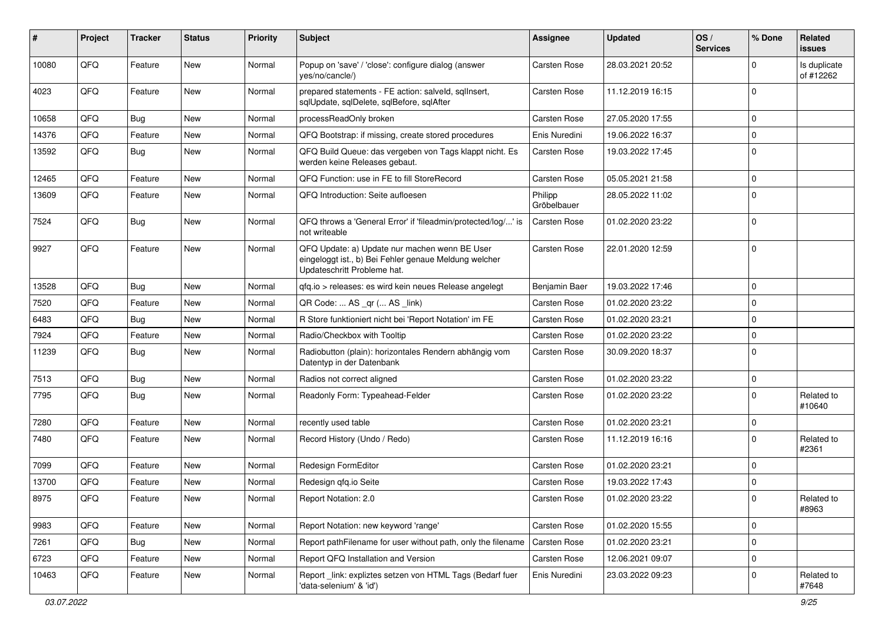| ∦     | Project | <b>Tracker</b> | <b>Status</b> | <b>Priority</b> | <b>Subject</b>                                                                                                                        | Assignee               | <b>Updated</b>   | OS/<br><b>Services</b> | % Done         | Related<br><b>issues</b>  |
|-------|---------|----------------|---------------|-----------------|---------------------------------------------------------------------------------------------------------------------------------------|------------------------|------------------|------------------------|----------------|---------------------------|
| 10080 | QFQ     | Feature        | <b>New</b>    | Normal          | Popup on 'save' / 'close': configure dialog (answer<br>yes/no/cancle/)                                                                | Carsten Rose           | 28.03.2021 20:52 |                        | $\Omega$       | Is duplicate<br>of #12262 |
| 4023  | QFQ     | Feature        | <b>New</b>    | Normal          | prepared statements - FE action: salveld, sqllnsert,<br>sqlUpdate, sqlDelete, sqlBefore, sqlAfter                                     | Carsten Rose           | 11.12.2019 16:15 |                        | $\mathbf 0$    |                           |
| 10658 | QFQ     | <b>Bug</b>     | <b>New</b>    | Normal          | processReadOnly broken                                                                                                                | Carsten Rose           | 27.05.2020 17:55 |                        | $\mathbf 0$    |                           |
| 14376 | QFQ     | Feature        | New           | Normal          | QFQ Bootstrap: if missing, create stored procedures                                                                                   | Enis Nuredini          | 19.06.2022 16:37 |                        | $\mathbf 0$    |                           |
| 13592 | QFQ     | <b>Bug</b>     | New           | Normal          | QFQ Build Queue: das vergeben von Tags klappt nicht. Es<br>werden keine Releases gebaut.                                              | Carsten Rose           | 19.03.2022 17:45 |                        | $\mathbf 0$    |                           |
| 12465 | QFQ     | Feature        | <b>New</b>    | Normal          | QFQ Function: use in FE to fill StoreRecord                                                                                           | Carsten Rose           | 05.05.2021 21:58 |                        | $\mathbf 0$    |                           |
| 13609 | QFQ     | Feature        | New           | Normal          | QFQ Introduction: Seite aufloesen                                                                                                     | Philipp<br>Gröbelbauer | 28.05.2022 11:02 |                        | $\Omega$       |                           |
| 7524  | QFQ     | <b>Bug</b>     | <b>New</b>    | Normal          | QFQ throws a 'General Error' if 'fileadmin/protected/log/' is<br>not writeable                                                        | Carsten Rose           | 01.02.2020 23:22 |                        | $\Omega$       |                           |
| 9927  | QFQ     | Feature        | <b>New</b>    | Normal          | QFQ Update: a) Update nur machen wenn BE User<br>eingeloggt ist., b) Bei Fehler genaue Meldung welcher<br>Updateschritt Probleme hat. | Carsten Rose           | 22.01.2020 12:59 |                        | $\mathbf 0$    |                           |
| 13528 | QFQ     | Bug            | <b>New</b>    | Normal          | gfg.io > releases: es wird kein neues Release angelegt                                                                                | Benjamin Baer          | 19.03.2022 17:46 |                        | $\mathbf 0$    |                           |
| 7520  | QFQ     | Feature        | <b>New</b>    | Normal          | QR Code:  AS _qr ( AS _link)                                                                                                          | Carsten Rose           | 01.02.2020 23:22 |                        | $\mathbf 0$    |                           |
| 6483  | QFQ     | Bug            | <b>New</b>    | Normal          | R Store funktioniert nicht bei 'Report Notation' im FE                                                                                | Carsten Rose           | 01.02.2020 23:21 |                        | $\Omega$       |                           |
| 7924  | QFQ     | Feature        | <b>New</b>    | Normal          | Radio/Checkbox with Tooltip                                                                                                           | Carsten Rose           | 01.02.2020 23:22 |                        | $\mathbf 0$    |                           |
| 11239 | QFQ     | Bug            | New           | Normal          | Radiobutton (plain): horizontales Rendern abhängig vom<br>Datentyp in der Datenbank                                                   | Carsten Rose           | 30.09.2020 18:37 |                        | $\Omega$       |                           |
| 7513  | QFQ     | Bug            | <b>New</b>    | Normal          | Radios not correct aligned                                                                                                            | Carsten Rose           | 01.02.2020 23:22 |                        | $\mathbf 0$    |                           |
| 7795  | QFQ     | Bug            | <b>New</b>    | Normal          | Readonly Form: Typeahead-Felder                                                                                                       | Carsten Rose           | 01.02.2020 23:22 |                        | $\mathbf 0$    | Related to<br>#10640      |
| 7280  | QFQ     | Feature        | <b>New</b>    | Normal          | recently used table                                                                                                                   | Carsten Rose           | 01.02.2020 23:21 |                        | $\mathbf 0$    |                           |
| 7480  | QFQ     | Feature        | <b>New</b>    | Normal          | Record History (Undo / Redo)                                                                                                          | Carsten Rose           | 11.12.2019 16:16 |                        | $\Omega$       | Related to<br>#2361       |
| 7099  | QFQ     | Feature        | New           | Normal          | Redesign FormEditor                                                                                                                   | Carsten Rose           | 01.02.2020 23:21 |                        | $\mathbf 0$    |                           |
| 13700 | QFQ     | Feature        | <b>New</b>    | Normal          | Redesign qfq.io Seite                                                                                                                 | Carsten Rose           | 19.03.2022 17:43 |                        | $\mathbf 0$    |                           |
| 8975  | QFQ     | Feature        | <b>New</b>    | Normal          | Report Notation: 2.0                                                                                                                  | Carsten Rose           | 01.02.2020 23:22 |                        | $\mathbf 0$    | Related to<br>#8963       |
| 9983  | QFQ     | Feature        | New           | Normal          | Report Notation: new keyword 'range'                                                                                                  | Carsten Rose           | 01.02.2020 15:55 |                        | $\mathbf 0$    |                           |
| 7261  | QFQ     | Bug            | New           | Normal          | Report pathFilename for user without path, only the filename                                                                          | Carsten Rose           | 01.02.2020 23:21 |                        | $\mathbf 0$    |                           |
| 6723  | QFQ     | Feature        | New           | Normal          | Report QFQ Installation and Version                                                                                                   | Carsten Rose           | 12.06.2021 09:07 |                        | $\mathbf 0$    |                           |
| 10463 | QFQ     | Feature        | New           | Normal          | Report_link: expliztes setzen von HTML Tags (Bedarf fuer<br>'data-selenium' & 'id')                                                   | Enis Nuredini          | 23.03.2022 09:23 |                        | $\overline{0}$ | Related to<br>#7648       |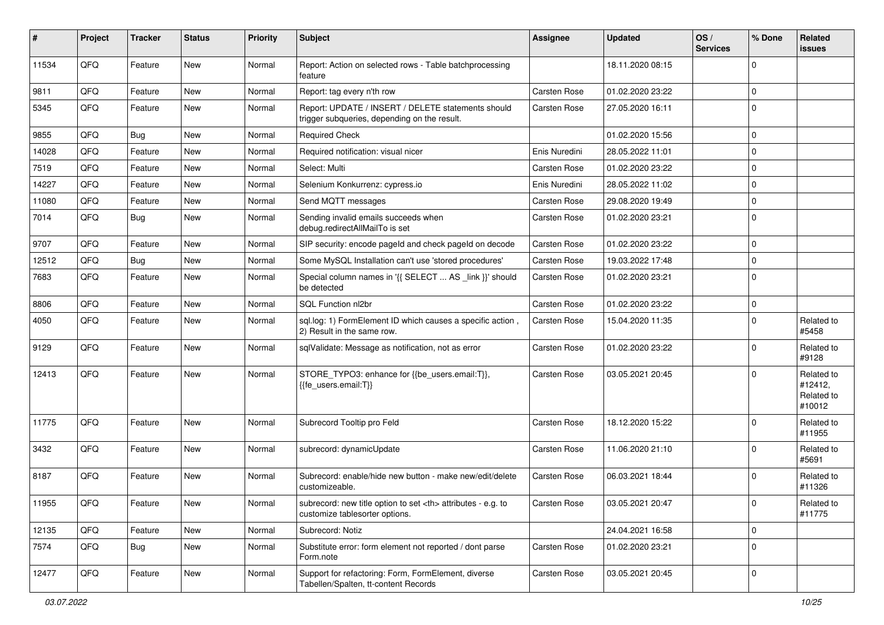| ∦     | Project | <b>Tracker</b> | <b>Status</b> | <b>Priority</b> | <b>Subject</b>                                                                                       | <b>Assignee</b>                                        | <b>Updated</b>   | OS/<br><b>Services</b> | % Done      | <b>Related</b><br>issues                      |                      |
|-------|---------|----------------|---------------|-----------------|------------------------------------------------------------------------------------------------------|--------------------------------------------------------|------------------|------------------------|-------------|-----------------------------------------------|----------------------|
| 11534 | QFQ     | Feature        | New           | Normal          | Report: Action on selected rows - Table batchprocessing<br>feature                                   |                                                        | 18.11.2020 08:15 |                        | $\mathbf 0$ |                                               |                      |
| 9811  | QFQ     | Feature        | New           | Normal          | Report: tag every n'th row                                                                           | Carsten Rose                                           | 01.02.2020 23:22 |                        | $\mathbf 0$ |                                               |                      |
| 5345  | QFQ     | Feature        | New           | Normal          | Report: UPDATE / INSERT / DELETE statements should<br>trigger subqueries, depending on the result.   | Carsten Rose                                           | 27.05.2020 16:11 |                        | $\mathbf 0$ |                                               |                      |
| 9855  | QFQ     | Bug            | New           | Normal          | <b>Required Check</b>                                                                                |                                                        | 01.02.2020 15:56 |                        | $\mathbf 0$ |                                               |                      |
| 14028 | QFQ     | Feature        | New           | Normal          | Required notification: visual nicer                                                                  | Enis Nuredini                                          | 28.05.2022 11:01 |                        | $\mathbf 0$ |                                               |                      |
| 7519  | QFQ     | Feature        | New           | Normal          | Select: Multi                                                                                        | Carsten Rose                                           | 01.02.2020 23:22 |                        | $\pmb{0}$   |                                               |                      |
| 14227 | QFQ     | Feature        | <b>New</b>    | Normal          | Selenium Konkurrenz: cypress.io                                                                      | Enis Nuredini                                          | 28.05.2022 11:02 |                        | $\mathbf 0$ |                                               |                      |
| 11080 | QFQ     | Feature        | New           | Normal          | Send MQTT messages                                                                                   | Carsten Rose                                           | 29.08.2020 19:49 |                        | $\pmb{0}$   |                                               |                      |
| 7014  | QFQ     | Bug            | New           | Normal          | Sending invalid emails succeeds when<br>debug.redirectAllMailTo is set                               | Carsten Rose                                           | 01.02.2020 23:21 |                        | $\mathbf 0$ |                                               |                      |
| 9707  | QFQ     | Feature        | <b>New</b>    | Normal          | SIP security: encode pageld and check pageld on decode                                               | Carsten Rose                                           | 01.02.2020 23:22 |                        | $\mathbf 0$ |                                               |                      |
| 12512 | QFQ     | Bug            | <b>New</b>    | Normal          | Some MySQL Installation can't use 'stored procedures'                                                | Carsten Rose                                           | 19.03.2022 17:48 |                        | $\mathbf 0$ |                                               |                      |
| 7683  | QFQ     | Feature        | New           | Normal          | Special column names in '{{ SELECT  AS _link }}' should<br>be detected                               | Carsten Rose                                           | 01.02.2020 23:21 |                        | $\mathbf 0$ |                                               |                      |
| 8806  | QFQ     | Feature        | <b>New</b>    | Normal          | SQL Function nl2br                                                                                   | Carsten Rose                                           | 01.02.2020 23:22 |                        | $\mathbf 0$ |                                               |                      |
| 4050  | QFQ     | Feature        | New           | Normal          | sql.log: 1) FormElement ID which causes a specific action,<br>2) Result in the same row.             | Carsten Rose                                           | 15.04.2020 11:35 |                        | $\mathbf 0$ | Related to<br>#5458                           |                      |
| 9129  | QFQ     | Feature        | New           | Normal          | sqlValidate: Message as notification, not as error                                                   | Carsten Rose                                           | 01.02.2020 23:22 |                        | $\mathbf 0$ | Related to<br>#9128                           |                      |
| 12413 | QFQ     | Feature        | <b>New</b>    | Normal          | STORE_TYPO3: enhance for {{be_users.email:T}},<br>{{fe users.email:T}}                               | Carsten Rose                                           | 03.05.2021 20:45 |                        | $\mathbf 0$ | Related to<br>#12412,<br>Related to<br>#10012 |                      |
| 11775 | QFQ     | Feature        | <b>New</b>    | Normal          | Subrecord Tooltip pro Feld                                                                           | Carsten Rose                                           | 18.12.2020 15:22 |                        | $\mathbf 0$ | Related to<br>#11955                          |                      |
| 3432  | QFQ     | Feature        | <b>New</b>    | Normal          | subrecord: dynamicUpdate                                                                             | Carsten Rose                                           | 11.06.2020 21:10 |                        | $\mathbf 0$ | Related to<br>#5691                           |                      |
| 8187  | QFQ     | Feature        | <b>New</b>    | Normal          | Subrecord: enable/hide new button - make new/edit/delete<br>customizeable.                           | Carsten Rose                                           | 06.03.2021 18:44 |                        | $\mathbf 0$ | Related to<br>#11326                          |                      |
| 11955 | QFQ     | Feature        | New           | Normal          | subrecord: new title option to set <th> attributes - e.g. to<br/>customize tablesorter options.</th> | attributes - e.g. to<br>customize tablesorter options. | Carsten Rose     | 03.05.2021 20:47       |             | $\overline{0}$                                | Related to<br>#11775 |
| 12135 | QFQ     | Feature        | New           | Normal          | Subrecord: Notiz                                                                                     |                                                        | 24.04.2021 16:58 |                        | $\mathbf 0$ |                                               |                      |
| 7574  | QFQ     | <b>Bug</b>     | New           | Normal          | Substitute error: form element not reported / dont parse<br>Form.note                                | Carsten Rose                                           | 01.02.2020 23:21 |                        | $\mathbf 0$ |                                               |                      |
| 12477 | QFO     | Feature        | New           | Normal          | Support for refactoring: Form, FormElement, diverse<br>Tabellen/Spalten, tt-content Records          | Carsten Rose                                           | 03.05.2021 20:45 |                        | $\pmb{0}$   |                                               |                      |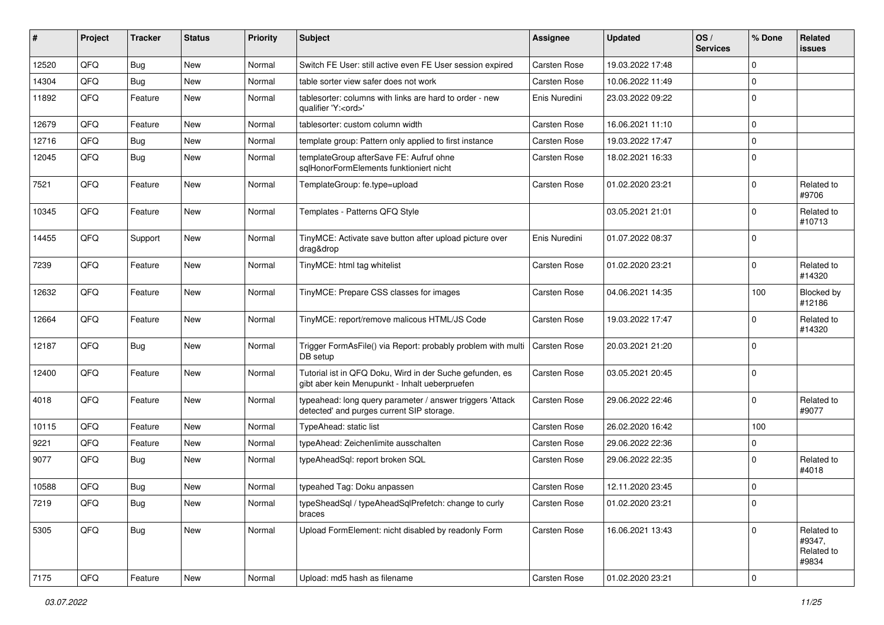| #     | Project | <b>Tracker</b> | <b>Status</b> | <b>Priority</b> | <b>Subject</b>                                                                                             | <b>Assignee</b> | <b>Updated</b>   | OS/<br><b>Services</b> | % Done         | <b>Related</b><br>issues                    |
|-------|---------|----------------|---------------|-----------------|------------------------------------------------------------------------------------------------------------|-----------------|------------------|------------------------|----------------|---------------------------------------------|
| 12520 | QFQ     | Bug            | New           | Normal          | Switch FE User: still active even FE User session expired                                                  | Carsten Rose    | 19.03.2022 17:48 |                        | $\mathbf 0$    |                                             |
| 14304 | QFQ     | Bug            | <b>New</b>    | Normal          | table sorter view safer does not work                                                                      | Carsten Rose    | 10.06.2022 11:49 |                        | 0              |                                             |
| 11892 | QFQ     | Feature        | New           | Normal          | tablesorter: columns with links are hard to order - new<br>qualifier 'Y: <ord>'</ord>                      | Enis Nuredini   | 23.03.2022 09:22 |                        | $\mathbf 0$    |                                             |
| 12679 | QFQ     | Feature        | <b>New</b>    | Normal          | tablesorter: custom column width                                                                           | Carsten Rose    | 16.06.2021 11:10 |                        | $\overline{0}$ |                                             |
| 12716 | QFQ     | Bug            | <b>New</b>    | Normal          | template group: Pattern only applied to first instance                                                     | Carsten Rose    | 19.03.2022 17:47 |                        | $\pmb{0}$      |                                             |
| 12045 | QFQ     | Bug            | <b>New</b>    | Normal          | templateGroup afterSave FE: Aufruf ohne<br>sqlHonorFormElements funktioniert nicht                         | Carsten Rose    | 18.02.2021 16:33 |                        | $\mathbf 0$    |                                             |
| 7521  | QFQ     | Feature        | <b>New</b>    | Normal          | TemplateGroup: fe.type=upload                                                                              | Carsten Rose    | 01.02.2020 23:21 |                        | $\mathbf{0}$   | Related to<br>#9706                         |
| 10345 | QFQ     | Feature        | New           | Normal          | Templates - Patterns QFQ Style                                                                             |                 | 03.05.2021 21:01 |                        | $\Omega$       | Related to<br>#10713                        |
| 14455 | QFQ     | Support        | <b>New</b>    | Normal          | TinyMCE: Activate save button after upload picture over<br>drag&drop                                       | Enis Nuredini   | 01.07.2022 08:37 |                        | $\mathbf 0$    |                                             |
| 7239  | QFQ     | Feature        | New           | Normal          | TinyMCE: html tag whitelist                                                                                | Carsten Rose    | 01.02.2020 23:21 |                        | $\Omega$       | Related to<br>#14320                        |
| 12632 | QFQ     | Feature        | New           | Normal          | TinyMCE: Prepare CSS classes for images                                                                    | Carsten Rose    | 04.06.2021 14:35 |                        | 100            | Blocked by<br>#12186                        |
| 12664 | QFQ     | Feature        | <b>New</b>    | Normal          | TinyMCE: report/remove malicous HTML/JS Code                                                               | Carsten Rose    | 19.03.2022 17:47 |                        | 0              | Related to<br>#14320                        |
| 12187 | QFQ     | Bug            | <b>New</b>    | Normal          | Trigger FormAsFile() via Report: probably problem with multi<br>DB setup                                   | Carsten Rose    | 20.03.2021 21:20 |                        | $\mathbf 0$    |                                             |
| 12400 | QFQ     | Feature        | New           | Normal          | Tutorial ist in QFQ Doku, Wird in der Suche gefunden, es<br>gibt aber kein Menupunkt - Inhalt ueberpruefen | Carsten Rose    | 03.05.2021 20:45 |                        | $\mathbf 0$    |                                             |
| 4018  | QFQ     | Feature        | <b>New</b>    | Normal          | typeahead: long query parameter / answer triggers 'Attack<br>detected' and purges current SIP storage.     | Carsten Rose    | 29.06.2022 22:46 |                        | $\mathbf 0$    | Related to<br>#9077                         |
| 10115 | QFQ     | Feature        | <b>New</b>    | Normal          | TypeAhead: static list                                                                                     | Carsten Rose    | 26.02.2020 16:42 |                        | 100            |                                             |
| 9221  | QFQ     | Feature        | New           | Normal          | typeAhead: Zeichenlimite ausschalten                                                                       | Carsten Rose    | 29.06.2022 22:36 |                        | $\mathbf 0$    |                                             |
| 9077  | QFQ     | <b>Bug</b>     | New           | Normal          | typeAheadSgl: report broken SQL                                                                            | Carsten Rose    | 29.06.2022 22:35 |                        | $\Omega$       | Related to<br>#4018                         |
| 10588 | QFQ     | Bug            | <b>New</b>    | Normal          | typeahed Tag: Doku anpassen                                                                                | Carsten Rose    | 12.11.2020 23:45 |                        | $\mathbf 0$    |                                             |
| 7219  | QFQ     | Bug            | New           | Normal          | typeSheadSql / typeAheadSqlPrefetch: change to curly<br>braces                                             | Carsten Rose    | 01.02.2020 23:21 |                        | $\mathbf 0$    |                                             |
| 5305  | QFQ     | Bug            | New           | Normal          | Upload FormElement: nicht disabled by readonly Form                                                        | Carsten Rose    | 16.06.2021 13:43 |                        | $\mathbf{0}$   | Related to<br>#9347,<br>Related to<br>#9834 |
| 7175  | QFQ     | Feature        | New           | Normal          | Upload: md5 hash as filename                                                                               | Carsten Rose    | 01.02.2020 23:21 |                        | $\pmb{0}$      |                                             |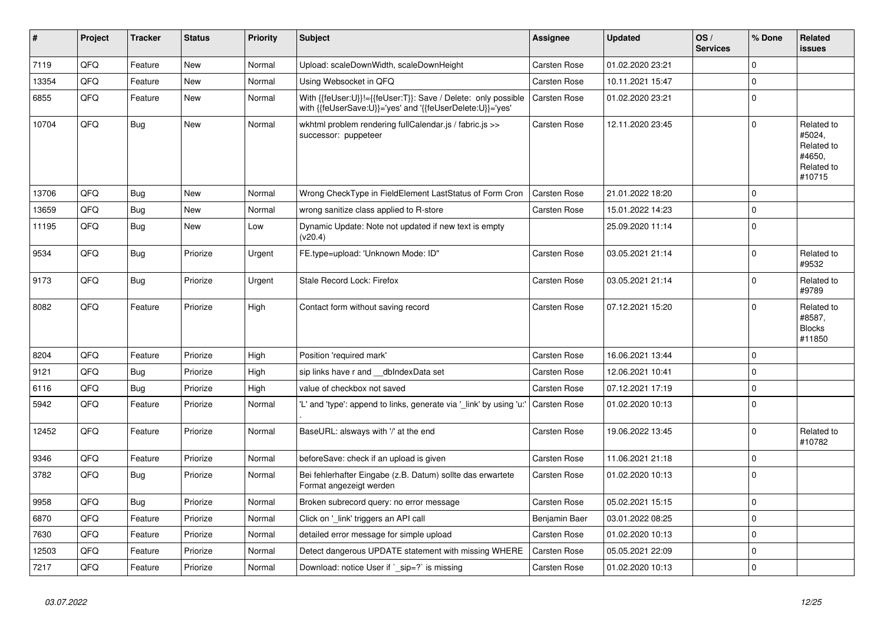| #     | Project | <b>Tracker</b> | <b>Status</b> | <b>Priority</b> | <b>Subject</b>                                                                                                             | <b>Assignee</b>     | <b>Updated</b>   | OS/<br><b>Services</b> | % Done       | <b>Related</b><br>issues                                             |
|-------|---------|----------------|---------------|-----------------|----------------------------------------------------------------------------------------------------------------------------|---------------------|------------------|------------------------|--------------|----------------------------------------------------------------------|
| 7119  | QFQ     | Feature        | <b>New</b>    | Normal          | Upload: scaleDownWidth, scaleDownHeight                                                                                    | Carsten Rose        | 01.02.2020 23:21 |                        | $\mathbf 0$  |                                                                      |
| 13354 | QFQ     | Feature        | <b>New</b>    | Normal          | Using Websocket in QFQ                                                                                                     | Carsten Rose        | 10.11.2021 15:47 |                        | $\pmb{0}$    |                                                                      |
| 6855  | QFQ     | Feature        | <b>New</b>    | Normal          | With {{feUser:U}}!={{feUser:T}}: Save / Delete: only possible<br>with {{feUserSave:U}}='yes' and '{{feUserDelete:U}}='yes' | <b>Carsten Rose</b> | 01.02.2020 23:21 |                        | $\pmb{0}$    |                                                                      |
| 10704 | QFQ     | Bug            | <b>New</b>    | Normal          | wkhtml problem rendering fullCalendar.js / fabric.js >><br>successor: puppeteer                                            | Carsten Rose        | 12.11.2020 23:45 |                        | $\mathbf{0}$ | Related to<br>#5024,<br>Related to<br>#4650,<br>Related to<br>#10715 |
| 13706 | QFQ     | Bug            | <b>New</b>    | Normal          | Wrong CheckType in FieldElement LastStatus of Form Cron                                                                    | Carsten Rose        | 21.01.2022 18:20 |                        | 0            |                                                                      |
| 13659 | QFQ     | <b>Bug</b>     | <b>New</b>    | Normal          | wrong sanitize class applied to R-store                                                                                    | Carsten Rose        | 15.01.2022 14:23 |                        | $\pmb{0}$    |                                                                      |
| 11195 | QFQ     | <b>Bug</b>     | <b>New</b>    | Low             | Dynamic Update: Note not updated if new text is empty<br>(v20.4)                                                           |                     | 25.09.2020 11:14 |                        | $\mathbf{0}$ |                                                                      |
| 9534  | QFQ     | <b>Bug</b>     | Priorize      | Urgent          | FE.type=upload: 'Unknown Mode: ID"                                                                                         | Carsten Rose        | 03.05.2021 21:14 |                        | $\pmb{0}$    | Related to<br>#9532                                                  |
| 9173  | QFQ     | Bug            | Priorize      | Urgent          | Stale Record Lock: Firefox                                                                                                 | <b>Carsten Rose</b> | 03.05.2021 21:14 |                        | $\pmb{0}$    | Related to<br>#9789                                                  |
| 8082  | QFQ     | Feature        | Priorize      | High            | Contact form without saving record                                                                                         | Carsten Rose        | 07.12.2021 15:20 |                        | $\Omega$     | Related to<br>#8587,<br><b>Blocks</b><br>#11850                      |
| 8204  | QFQ     | Feature        | Priorize      | High            | Position 'required mark'                                                                                                   | <b>Carsten Rose</b> | 16.06.2021 13:44 |                        | $\mathbf 0$  |                                                                      |
| 9121  | QFQ     | Bug            | Priorize      | High            | sip links have r and __dbIndexData set                                                                                     | Carsten Rose        | 12.06.2021 10:41 |                        | $\mathbf 0$  |                                                                      |
| 6116  | QFQ     | <b>Bug</b>     | Priorize      | High            | value of checkbox not saved                                                                                                | Carsten Rose        | 07.12.2021 17:19 |                        | $\pmb{0}$    |                                                                      |
| 5942  | QFQ     | Feature        | Priorize      | Normal          | 'L' and 'type': append to links, generate via '_link' by using 'u:'                                                        | <b>Carsten Rose</b> | 01.02.2020 10:13 |                        | $\mathbf 0$  |                                                                      |
| 12452 | QFQ     | Feature        | Priorize      | Normal          | BaseURL: alsways with '/' at the end                                                                                       | Carsten Rose        | 19.06.2022 13:45 |                        | $\mathbf 0$  | Related to<br>#10782                                                 |
| 9346  | QFQ     | Feature        | Priorize      | Normal          | beforeSave: check if an upload is given                                                                                    | Carsten Rose        | 11.06.2021 21:18 |                        | $\pmb{0}$    |                                                                      |
| 3782  | QFQ     | Bug            | Priorize      | Normal          | Bei fehlerhafter Eingabe (z.B. Datum) sollte das erwartete<br>Format angezeigt werden                                      | Carsten Rose        | 01.02.2020 10:13 |                        | $\pmb{0}$    |                                                                      |
| 9958  | QFQ     | Bug            | Priorize      | Normal          | Broken subrecord query: no error message                                                                                   | Carsten Rose        | 05.02.2021 15:15 |                        | $\pmb{0}$    |                                                                      |
| 6870  | QFQ     | Feature        | Priorize      | Normal          | Click on 'link' triggers an API call                                                                                       | Benjamin Baer       | 03.01.2022 08:25 |                        | $\pmb{0}$    |                                                                      |
| 7630  | QFQ     | Feature        | Priorize      | Normal          | detailed error message for simple upload                                                                                   | Carsten Rose        | 01.02.2020 10:13 |                        | $\mathbf 0$  |                                                                      |
| 12503 | QFQ     | Feature        | Priorize      | Normal          | Detect dangerous UPDATE statement with missing WHERE                                                                       | Carsten Rose        | 05.05.2021 22:09 |                        | $\mathbf 0$  |                                                                      |
| 7217  | QFQ     | Feature        | Priorize      | Normal          | Download: notice User if `_sip=?` is missing                                                                               | Carsten Rose        | 01.02.2020 10:13 |                        | $\pmb{0}$    |                                                                      |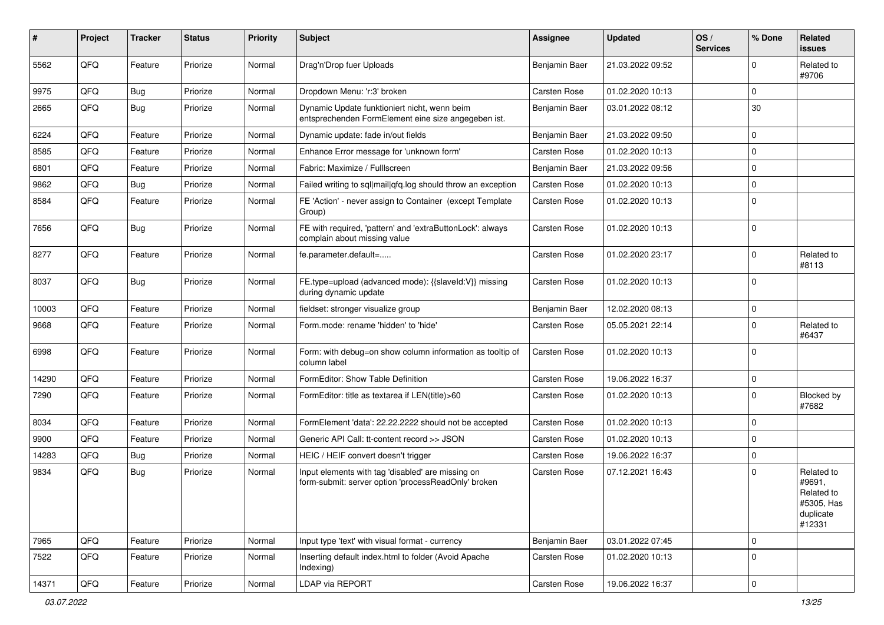| ∦     | Project | <b>Tracker</b> | <b>Status</b> | <b>Priority</b> | Subject                                                                                                  | <b>Assignee</b> | <b>Updated</b>   | OS/<br><b>Services</b> | % Done      | <b>Related</b><br>issues                                                |
|-------|---------|----------------|---------------|-----------------|----------------------------------------------------------------------------------------------------------|-----------------|------------------|------------------------|-------------|-------------------------------------------------------------------------|
| 5562  | QFQ     | Feature        | Priorize      | Normal          | Drag'n'Drop fuer Uploads                                                                                 | Benjamin Baer   | 21.03.2022 09:52 |                        | $\Omega$    | Related to<br>#9706                                                     |
| 9975  | QFQ     | Bug            | Priorize      | Normal          | Dropdown Menu: 'r:3' broken                                                                              | Carsten Rose    | 01.02.2020 10:13 |                        | $\Omega$    |                                                                         |
| 2665  | QFQ     | Bug            | Priorize      | Normal          | Dynamic Update funktioniert nicht, wenn beim<br>entsprechenden FormElement eine size angegeben ist.      | Benjamin Baer   | 03.01.2022 08:12 |                        | 30          |                                                                         |
| 6224  | QFQ     | Feature        | Priorize      | Normal          | Dynamic update: fade in/out fields                                                                       | Benjamin Baer   | 21.03.2022 09:50 |                        | $\Omega$    |                                                                         |
| 8585  | QFQ     | Feature        | Priorize      | Normal          | Enhance Error message for 'unknown form'                                                                 | Carsten Rose    | 01.02.2020 10:13 |                        | $\Omega$    |                                                                         |
| 6801  | QFQ     | Feature        | Priorize      | Normal          | Fabric: Maximize / FullIscreen                                                                           | Benjamin Baer   | 21.03.2022 09:56 |                        | $\Omega$    |                                                                         |
| 9862  | QFQ     | Bug            | Priorize      | Normal          | Failed writing to sql mail qfq.log should throw an exception                                             | Carsten Rose    | 01.02.2020 10:13 |                        | $\Omega$    |                                                                         |
| 8584  | QFQ     | Feature        | Priorize      | Normal          | FE 'Action' - never assign to Container (except Template<br>Group)                                       | Carsten Rose    | 01.02.2020 10:13 |                        | $\Omega$    |                                                                         |
| 7656  | QFQ     | Bug            | Priorize      | Normal          | FE with required, 'pattern' and 'extraButtonLock': always<br>complain about missing value                | Carsten Rose    | 01.02.2020 10:13 |                        | $\Omega$    |                                                                         |
| 8277  | QFQ     | Feature        | Priorize      | Normal          | fe.parameter.default=                                                                                    | Carsten Rose    | 01.02.2020 23:17 |                        | $\Omega$    | Related to<br>#8113                                                     |
| 8037  | QFQ     | Bug            | Priorize      | Normal          | FE.type=upload (advanced mode): {{slaveld:V}} missing<br>during dynamic update                           | Carsten Rose    | 01.02.2020 10:13 |                        | $\Omega$    |                                                                         |
| 10003 | QFQ     | Feature        | Priorize      | Normal          | fieldset: stronger visualize group                                                                       | Benjamin Baer   | 12.02.2020 08:13 |                        | 0           |                                                                         |
| 9668  | QFQ     | Feature        | Priorize      | Normal          | Form.mode: rename 'hidden' to 'hide'                                                                     | Carsten Rose    | 05.05.2021 22:14 |                        | $\Omega$    | Related to<br>#6437                                                     |
| 6998  | QFQ     | Feature        | Priorize      | Normal          | Form: with debug=on show column information as tooltip of<br>column label                                | Carsten Rose    | 01.02.2020 10:13 |                        | $\Omega$    |                                                                         |
| 14290 | QFQ     | Feature        | Priorize      | Normal          | FormEditor: Show Table Definition                                                                        | Carsten Rose    | 19.06.2022 16:37 |                        | $\Omega$    |                                                                         |
| 7290  | QFQ     | Feature        | Priorize      | Normal          | FormEditor: title as textarea if LEN(title)>60                                                           | Carsten Rose    | 01.02.2020 10:13 |                        | $\Omega$    | Blocked by<br>#7682                                                     |
| 8034  | QFQ     | Feature        | Priorize      | Normal          | FormElement 'data': 22.22.2222 should not be accepted                                                    | Carsten Rose    | 01.02.2020 10:13 |                        | $\Omega$    |                                                                         |
| 9900  | QFQ     | Feature        | Priorize      | Normal          | Generic API Call: tt-content record >> JSON                                                              | Carsten Rose    | 01.02.2020 10:13 |                        | $\Omega$    |                                                                         |
| 14283 | QFQ     | Bug            | Priorize      | Normal          | HEIC / HEIF convert doesn't trigger                                                                      | Carsten Rose    | 19.06.2022 16:37 |                        | $\Omega$    |                                                                         |
| 9834  | QFQ     | Bug            | Priorize      | Normal          | Input elements with tag 'disabled' are missing on<br>form-submit: server option 'processReadOnly' broken | Carsten Rose    | 07.12.2021 16:43 |                        | $\Omega$    | Related to<br>#9691,<br>Related to<br>#5305, Has<br>duplicate<br>#12331 |
| 7965  | QFQ     | Feature        | Priorize      | Normal          | Input type 'text' with visual format - currency                                                          | Benjamin Baer   | 03.01.2022 07:45 |                        | 0           |                                                                         |
| 7522  | QFQ     | Feature        | Priorize      | Normal          | Inserting default index.html to folder (Avoid Apache<br>Indexing)                                        | Carsten Rose    | 01.02.2020 10:13 |                        | $\mathbf 0$ |                                                                         |
| 14371 | QFO     | Feature        | Priorize      | Normal          | LDAP via REPORT                                                                                          | Carsten Rose    | 19.06.2022 16:37 |                        | 0           |                                                                         |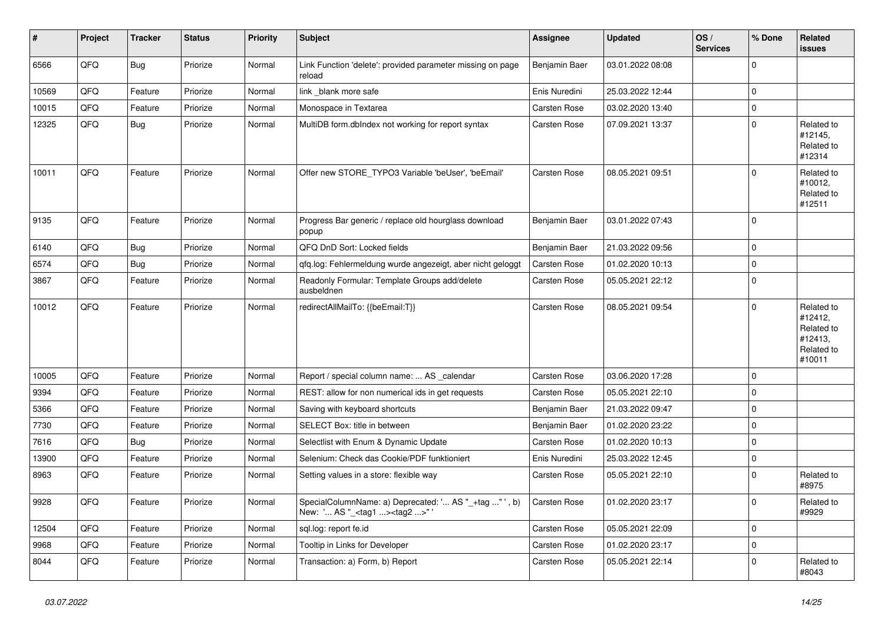| #     | Project | <b>Tracker</b> | <b>Status</b> | <b>Priority</b> | <b>Subject</b>                                                                                    | Assignee            | <b>Updated</b>   | OS/<br><b>Services</b> | % Done   | <b>Related</b><br><b>issues</b>                                        |
|-------|---------|----------------|---------------|-----------------|---------------------------------------------------------------------------------------------------|---------------------|------------------|------------------------|----------|------------------------------------------------------------------------|
| 6566  | QFQ     | Bug            | Priorize      | Normal          | Link Function 'delete': provided parameter missing on page<br>reload                              | Benjamin Baer       | 03.01.2022 08:08 |                        | $\Omega$ |                                                                        |
| 10569 | QFQ     | Feature        | Priorize      | Normal          | link_blank more safe                                                                              | Enis Nuredini       | 25.03.2022 12:44 |                        | 0        |                                                                        |
| 10015 | QFQ     | Feature        | Priorize      | Normal          | Monospace in Textarea                                                                             | Carsten Rose        | 03.02.2020 13:40 |                        | 0        |                                                                        |
| 12325 | QFQ     | Bug            | Priorize      | Normal          | MultiDB form.dblndex not working for report syntax                                                | Carsten Rose        | 07.09.2021 13:37 |                        | 0        | Related to<br>#12145,<br>Related to<br>#12314                          |
| 10011 | QFQ     | Feature        | Priorize      | Normal          | Offer new STORE_TYPO3 Variable 'beUser', 'beEmail'                                                | <b>Carsten Rose</b> | 08.05.2021 09:51 |                        | 0        | Related to<br>#10012,<br>Related to<br>#12511                          |
| 9135  | QFQ     | Feature        | Priorize      | Normal          | Progress Bar generic / replace old hourglass download<br>popup                                    | Benjamin Baer       | 03.01.2022 07:43 |                        | $\Omega$ |                                                                        |
| 6140  | QFQ     | Bug            | Priorize      | Normal          | QFQ DnD Sort: Locked fields                                                                       | Benjamin Baer       | 21.03.2022 09:56 |                        | 0        |                                                                        |
| 6574  | QFQ     | Bug            | Priorize      | Normal          | qfq.log: Fehlermeldung wurde angezeigt, aber nicht geloggt                                        | Carsten Rose        | 01.02.2020 10:13 |                        | 0        |                                                                        |
| 3867  | QFQ     | Feature        | Priorize      | Normal          | Readonly Formular: Template Groups add/delete<br>ausbeldnen                                       | Carsten Rose        | 05.05.2021 22:12 |                        | 0        |                                                                        |
| 10012 | QFQ     | Feature        | Priorize      | Normal          | redirectAllMailTo: {{beEmail:T}}                                                                  | <b>Carsten Rose</b> | 08.05.2021 09:54 |                        | $\Omega$ | Related to<br>#12412,<br>Related to<br>#12413,<br>Related to<br>#10011 |
| 10005 | QFQ     | Feature        | Priorize      | Normal          | Report / special column name:  AS _calendar                                                       | Carsten Rose        | 03.06.2020 17:28 |                        | $\Omega$ |                                                                        |
| 9394  | QFQ     | Feature        | Priorize      | Normal          | REST: allow for non numerical ids in get requests                                                 | Carsten Rose        | 05.05.2021 22:10 |                        | 0        |                                                                        |
| 5366  | QFQ     | Feature        | Priorize      | Normal          | Saving with keyboard shortcuts                                                                    | Benjamin Baer       | 21.03.2022 09:47 |                        | 0        |                                                                        |
| 7730  | QFQ     | Feature        | Priorize      | Normal          | SELECT Box: title in between                                                                      | Benjamin Baer       | 01.02.2020 23:22 |                        | 0        |                                                                        |
| 7616  | QFQ     | <b>Bug</b>     | Priorize      | Normal          | Selectlist with Enum & Dynamic Update                                                             | Carsten Rose        | 01.02.2020 10:13 |                        | 0        |                                                                        |
| 13900 | QFQ     | Feature        | Priorize      | Normal          | Selenium: Check das Cookie/PDF funktioniert                                                       | Enis Nuredini       | 25.03.2022 12:45 |                        | 0        |                                                                        |
| 8963  | QFQ     | Feature        | Priorize      | Normal          | Setting values in a store: flexible way                                                           | Carsten Rose        | 05.05.2021 22:10 |                        | 0        | Related to<br>#8975                                                    |
| 9928  | QFQ     | Feature        | Priorize      | Normal          | SpecialColumnName: a) Deprecated: ' AS "_+tag " ', b)<br>New: ' AS "_ <tag1><tag2>"</tag2></tag1> | Carsten Rose        | 01.02.2020 23:17 |                        | 0        | Related to<br>#9929                                                    |
| 12504 | QFQ     | Feature        | Priorize      | Normal          | sql.log: report fe.id                                                                             | Carsten Rose        | 05.05.2021 22:09 |                        | 0        |                                                                        |
| 9968  | QFQ     | Feature        | Priorize      | Normal          | Tooltip in Links for Developer                                                                    | Carsten Rose        | 01.02.2020 23:17 |                        | 0        |                                                                        |
| 8044  | QFQ     | Feature        | Priorize      | Normal          | Transaction: a) Form, b) Report                                                                   | Carsten Rose        | 05.05.2021 22:14 |                        | 0        | Related to<br>#8043                                                    |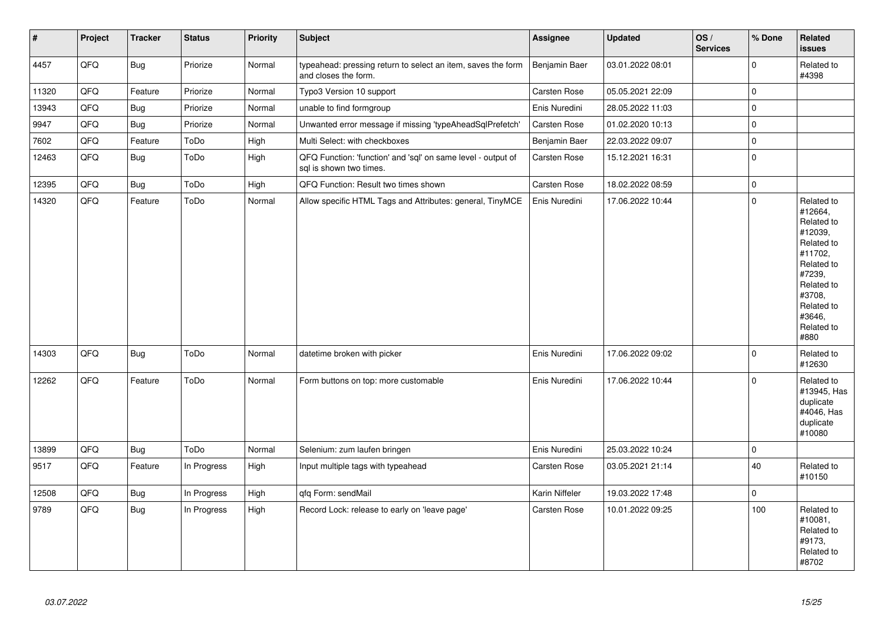| $\vert$ # | Project | <b>Tracker</b> | <b>Status</b> | <b>Priority</b> | <b>Subject</b>                                                                          | Assignee       | <b>Updated</b>   | OS/<br><b>Services</b> | % Done       | Related<br><b>issues</b>                                                                                                                                              |
|-----------|---------|----------------|---------------|-----------------|-----------------------------------------------------------------------------------------|----------------|------------------|------------------------|--------------|-----------------------------------------------------------------------------------------------------------------------------------------------------------------------|
| 4457      | QFQ     | <b>Bug</b>     | Priorize      | Normal          | typeahead: pressing return to select an item, saves the form<br>and closes the form.    | Benjamin Baer  | 03.01.2022 08:01 |                        | $\pmb{0}$    | Related to<br>#4398                                                                                                                                                   |
| 11320     | QFQ     | Feature        | Priorize      | Normal          | Typo3 Version 10 support                                                                | Carsten Rose   | 05.05.2021 22:09 |                        | $\mathbf{0}$ |                                                                                                                                                                       |
| 13943     | QFQ     | <b>Bug</b>     | Priorize      | Normal          | unable to find formgroup                                                                | Enis Nuredini  | 28.05.2022 11:03 |                        | $\pmb{0}$    |                                                                                                                                                                       |
| 9947      | QFQ     | Bug            | Priorize      | Normal          | Unwanted error message if missing 'typeAheadSqlPrefetch'                                | Carsten Rose   | 01.02.2020 10:13 |                        | $\mathbf 0$  |                                                                                                                                                                       |
| 7602      | QFQ     | Feature        | ToDo          | High            | Multi Select: with checkboxes                                                           | Benjamin Baer  | 22.03.2022 09:07 |                        | $\pmb{0}$    |                                                                                                                                                                       |
| 12463     | QFQ     | Bug            | ToDo          | High            | QFQ Function: 'function' and 'sql' on same level - output of<br>sal is shown two times. | Carsten Rose   | 15.12.2021 16:31 |                        | $\pmb{0}$    |                                                                                                                                                                       |
| 12395     | QFQ     | <b>Bug</b>     | ToDo          | High            | QFQ Function: Result two times shown                                                    | Carsten Rose   | 18.02.2022 08:59 |                        | $\pmb{0}$    |                                                                                                                                                                       |
| 14320     | QFQ     | Feature        | ToDo          | Normal          | Allow specific HTML Tags and Attributes: general, TinyMCE                               | Enis Nuredini  | 17.06.2022 10:44 |                        | $\mathbf 0$  | Related to<br>#12664,<br>Related to<br>#12039,<br>Related to<br>#11702,<br>Related to<br>#7239,<br>Related to<br>#3708,<br>Related to<br>#3646,<br>Related to<br>#880 |
| 14303     | QFQ     | <b>Bug</b>     | ToDo          | Normal          | datetime broken with picker                                                             | Enis Nuredini  | 17.06.2022 09:02 |                        | $\Omega$     | Related to<br>#12630                                                                                                                                                  |
| 12262     | QFQ     | Feature        | ToDo          | Normal          | Form buttons on top: more customable                                                    | Enis Nuredini  | 17.06.2022 10:44 |                        | $\mathbf{0}$ | Related to<br>#13945, Has<br>duplicate<br>#4046, Has<br>duplicate<br>#10080                                                                                           |
| 13899     | QFQ     | Bug            | ToDo          | Normal          | Selenium: zum laufen bringen                                                            | Enis Nuredini  | 25.03.2022 10:24 |                        | $\pmb{0}$    |                                                                                                                                                                       |
| 9517      | QFQ     | Feature        | In Progress   | High            | Input multiple tags with typeahead                                                      | Carsten Rose   | 03.05.2021 21:14 |                        | 40           | Related to<br>#10150                                                                                                                                                  |
| 12508     | QFQ     | Bug            | In Progress   | High            | qfq Form: sendMail                                                                      | Karin Niffeler | 19.03.2022 17:48 |                        | $\pmb{0}$    |                                                                                                                                                                       |
| 9789      | QFQ     | <b>Bug</b>     | In Progress   | High            | Record Lock: release to early on 'leave page'                                           | Carsten Rose   | 10.01.2022 09:25 |                        | 100          | Related to<br>#10081,<br>Related to<br>#9173,<br>Related to<br>#8702                                                                                                  |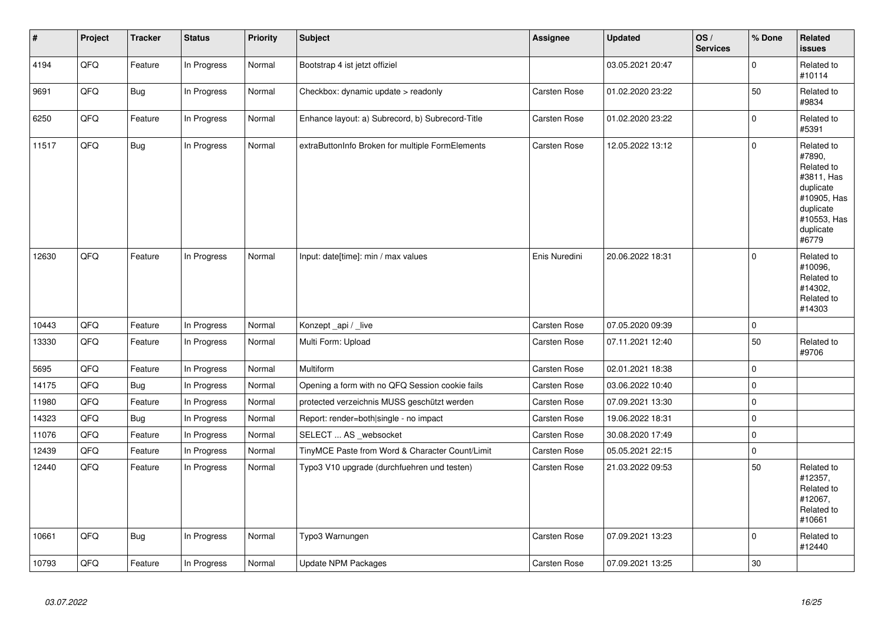| $\sharp$ | Project | <b>Tracker</b> | <b>Status</b> | <b>Priority</b> | <b>Subject</b>                                   | Assignee            | <b>Updated</b>   | OS/<br><b>Services</b> | % Done         | Related<br><b>issues</b>                                                                                                       |
|----------|---------|----------------|---------------|-----------------|--------------------------------------------------|---------------------|------------------|------------------------|----------------|--------------------------------------------------------------------------------------------------------------------------------|
| 4194     | QFQ     | Feature        | In Progress   | Normal          | Bootstrap 4 ist jetzt offiziel                   |                     | 03.05.2021 20:47 |                        | $\overline{0}$ | Related to<br>#10114                                                                                                           |
| 9691     | QFQ     | Bug            | In Progress   | Normal          | Checkbox: dynamic update > readonly              | Carsten Rose        | 01.02.2020 23:22 |                        | 50             | Related to<br>#9834                                                                                                            |
| 6250     | QFQ     | Feature        | In Progress   | Normal          | Enhance layout: a) Subrecord, b) Subrecord-Title | Carsten Rose        | 01.02.2020 23:22 |                        | 0              | Related to<br>#5391                                                                                                            |
| 11517    | QFQ     | Bug            | In Progress   | Normal          | extraButtonInfo Broken for multiple FormElements | Carsten Rose        | 12.05.2022 13:12 |                        | 0              | Related to<br>#7890,<br>Related to<br>#3811, Has<br>duplicate<br>#10905, Has<br>duplicate<br>#10553, Has<br>duplicate<br>#6779 |
| 12630    | QFQ     | Feature        | In Progress   | Normal          | Input: date[time]: min / max values              | Enis Nuredini       | 20.06.2022 18:31 |                        | 0              | Related to<br>#10096,<br>Related to<br>#14302,<br>Related to<br>#14303                                                         |
| 10443    | QFQ     | Feature        | In Progress   | Normal          | Konzept_api / _live                              | Carsten Rose        | 07.05.2020 09:39 |                        | 0              |                                                                                                                                |
| 13330    | QFQ     | Feature        | In Progress   | Normal          | Multi Form: Upload                               | Carsten Rose        | 07.11.2021 12:40 |                        | 50             | Related to<br>#9706                                                                                                            |
| 5695     | QFQ     | Feature        | In Progress   | Normal          | <b>Multiform</b>                                 | Carsten Rose        | 02.01.2021 18:38 |                        | 0              |                                                                                                                                |
| 14175    | QFQ     | Bug            | In Progress   | Normal          | Opening a form with no QFQ Session cookie fails  | Carsten Rose        | 03.06.2022 10:40 |                        | 0              |                                                                                                                                |
| 11980    | QFQ     | Feature        | In Progress   | Normal          | protected verzeichnis MUSS geschützt werden      | Carsten Rose        | 07.09.2021 13:30 |                        | 0              |                                                                                                                                |
| 14323    | QFQ     | <b>Bug</b>     | In Progress   | Normal          | Report: render=both single - no impact           | <b>Carsten Rose</b> | 19.06.2022 18:31 |                        | 0              |                                                                                                                                |
| 11076    | QFQ     | Feature        | In Progress   | Normal          | SELECT  AS _websocket                            | <b>Carsten Rose</b> | 30.08.2020 17:49 |                        | 0              |                                                                                                                                |
| 12439    | QFQ     | Feature        | In Progress   | Normal          | TinyMCE Paste from Word & Character Count/Limit  | Carsten Rose        | 05.05.2021 22:15 |                        | 0              |                                                                                                                                |
| 12440    | QFQ     | Feature        | In Progress   | Normal          | Typo3 V10 upgrade (durchfuehren und testen)      | Carsten Rose        | 21.03.2022 09:53 |                        | 50             | Related to<br>#12357,<br>Related to<br>#12067,<br>Related to<br>#10661                                                         |
| 10661    | QFQ     | Bug            | In Progress   | Normal          | Typo3 Warnungen                                  | Carsten Rose        | 07.09.2021 13:23 |                        | 0              | Related to<br>#12440                                                                                                           |
| 10793    | QFQ     | Feature        | In Progress   | Normal          | Update NPM Packages                              | <b>Carsten Rose</b> | 07.09.2021 13:25 |                        | 30             |                                                                                                                                |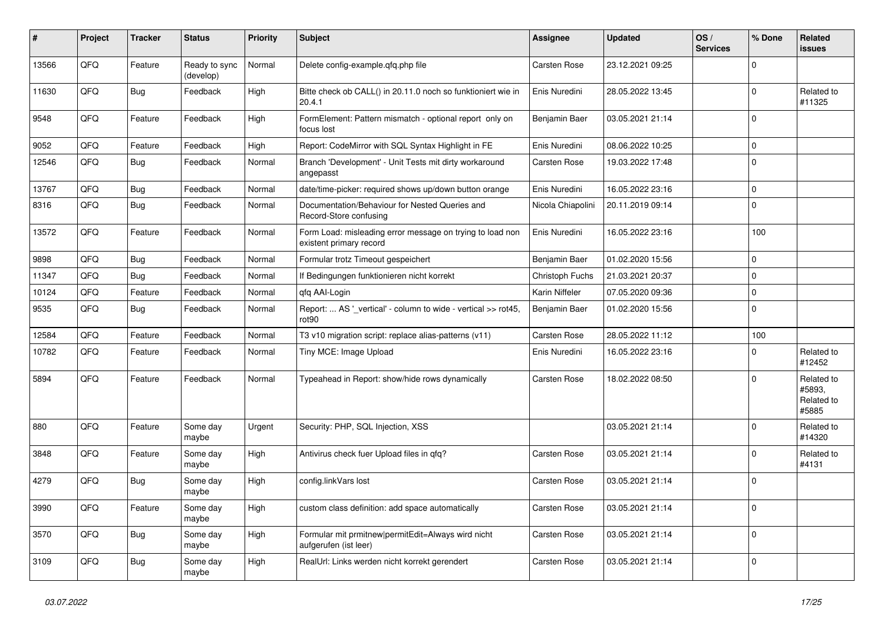| ∦     | Project | <b>Tracker</b> | <b>Status</b>              | <b>Priority</b> | <b>Subject</b>                                                                       | <b>Assignee</b>   | <b>Updated</b>   | OS/<br><b>Services</b> | % Done       | <b>Related</b><br>issues                    |
|-------|---------|----------------|----------------------------|-----------------|--------------------------------------------------------------------------------------|-------------------|------------------|------------------------|--------------|---------------------------------------------|
| 13566 | QFQ     | Feature        | Ready to sync<br>(develop) | Normal          | Delete config-example.qfq.php file                                                   | Carsten Rose      | 23.12.2021 09:25 |                        | $\mathbf 0$  |                                             |
| 11630 | QFQ     | <b>Bug</b>     | Feedback                   | High            | Bitte check ob CALL() in 20.11.0 noch so funktioniert wie in<br>20.4.1               | Enis Nuredini     | 28.05.2022 13:45 |                        | $\pmb{0}$    | Related to<br>#11325                        |
| 9548  | QFQ     | Feature        | Feedback                   | High            | FormElement: Pattern mismatch - optional report only on<br>focus lost                | Benjamin Baer     | 03.05.2021 21:14 |                        | $\Omega$     |                                             |
| 9052  | QFQ     | Feature        | Feedback                   | High            | Report: CodeMirror with SQL Syntax Highlight in FE                                   | Enis Nuredini     | 08.06.2022 10:25 |                        | $\mathbf{0}$ |                                             |
| 12546 | QFQ     | <b>Bug</b>     | Feedback                   | Normal          | Branch 'Development' - Unit Tests mit dirty workaround<br>angepasst                  | Carsten Rose      | 19.03.2022 17:48 |                        | $\mathbf{0}$ |                                             |
| 13767 | QFQ     | Bug            | Feedback                   | Normal          | date/time-picker: required shows up/down button orange                               | Enis Nuredini     | 16.05.2022 23:16 |                        | $\pmb{0}$    |                                             |
| 8316  | QFQ     | Bug            | Feedback                   | Normal          | Documentation/Behaviour for Nested Queries and<br>Record-Store confusing             | Nicola Chiapolini | 20.11.2019 09:14 |                        | $\pmb{0}$    |                                             |
| 13572 | QFQ     | Feature        | Feedback                   | Normal          | Form Load: misleading error message on trying to load non<br>existent primary record | Enis Nuredini     | 16.05.2022 23:16 |                        | 100          |                                             |
| 9898  | QFQ     | Bug            | Feedback                   | Normal          | Formular trotz Timeout gespeichert                                                   | Benjamin Baer     | 01.02.2020 15:56 |                        | $\mathbf 0$  |                                             |
| 11347 | QFQ     | Bug            | Feedback                   | Normal          | If Bedingungen funktionieren nicht korrekt                                           | Christoph Fuchs   | 21.03.2021 20:37 |                        | $\mathbf 0$  |                                             |
| 10124 | QFQ     | Feature        | Feedback                   | Normal          | qfq AAI-Login                                                                        | Karin Niffeler    | 07.05.2020 09:36 |                        | $\pmb{0}$    |                                             |
| 9535  | QFQ     | <b>Bug</b>     | Feedback                   | Normal          | Report:  AS ' vertical' - column to wide - vertical >> rot45,<br>rot90               | Benjamin Baer     | 01.02.2020 15:56 |                        | $\pmb{0}$    |                                             |
| 12584 | QFQ     | Feature        | Feedback                   | Normal          | T3 v10 migration script: replace alias-patterns (v11)                                | Carsten Rose      | 28.05.2022 11:12 |                        | 100          |                                             |
| 10782 | QFQ     | Feature        | Feedback                   | Normal          | Tiny MCE: Image Upload                                                               | Enis Nuredini     | 16.05.2022 23:16 |                        | $\mathbf 0$  | Related to<br>#12452                        |
| 5894  | QFQ     | Feature        | Feedback                   | Normal          | Typeahead in Report: show/hide rows dynamically                                      | Carsten Rose      | 18.02.2022 08:50 |                        | $\mathbf 0$  | Related to<br>#5893.<br>Related to<br>#5885 |
| 880   | QFQ     | Feature        | Some day<br>maybe          | Urgent          | Security: PHP, SQL Injection, XSS                                                    |                   | 03.05.2021 21:14 |                        | $\pmb{0}$    | Related to<br>#14320                        |
| 3848  | QFQ     | Feature        | Some day<br>maybe          | High            | Antivirus check fuer Upload files in gfg?                                            | Carsten Rose      | 03.05.2021 21:14 |                        | $\mathbf 0$  | Related to<br>#4131                         |
| 4279  | QFQ     | Bug            | Some day<br>maybe          | High            | config.linkVars lost                                                                 | Carsten Rose      | 03.05.2021 21:14 |                        | $\pmb{0}$    |                                             |
| 3990  | QFQ     | Feature        | Some day<br>maybe          | High            | custom class definition: add space automatically                                     | Carsten Rose      | 03.05.2021 21:14 |                        | $\mathbf 0$  |                                             |
| 3570  | QFQ     | <b>Bug</b>     | Some day<br>maybe          | High            | Formular mit prmitnew permitEdit=Always wird nicht<br>aufgerufen (ist leer)          | Carsten Rose      | 03.05.2021 21:14 |                        | $\mathbf 0$  |                                             |
| 3109  | QFQ     | Bug            | Some day<br>maybe          | High            | RealUrl: Links werden nicht korrekt gerendert                                        | Carsten Rose      | 03.05.2021 21:14 |                        | $\mathbf 0$  |                                             |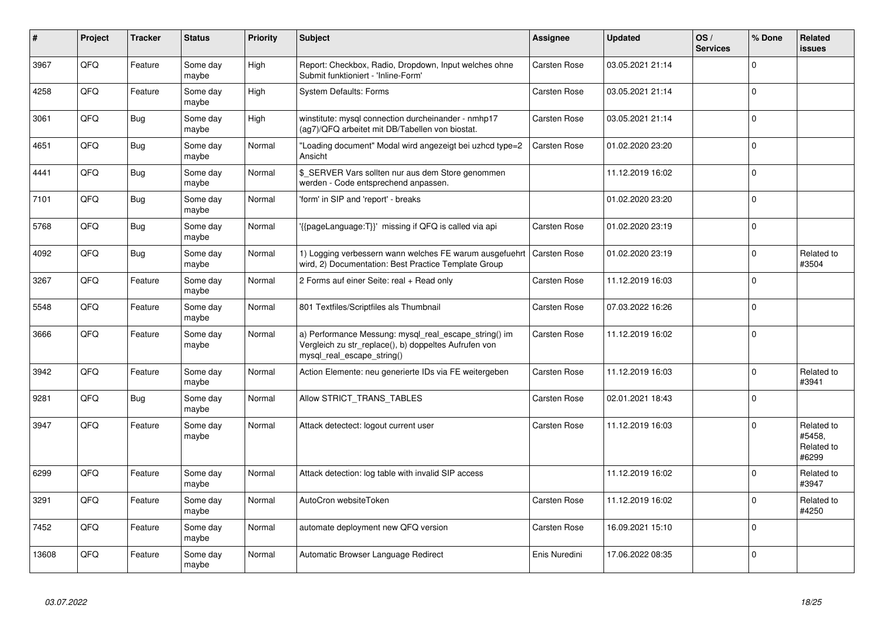| #     | Project | <b>Tracker</b> | <b>Status</b>     | <b>Priority</b> | Subject                                                                                                                                      | <b>Assignee</b> | <b>Updated</b>   | OS/<br><b>Services</b> | % Done   | Related<br><b>issues</b>                    |
|-------|---------|----------------|-------------------|-----------------|----------------------------------------------------------------------------------------------------------------------------------------------|-----------------|------------------|------------------------|----------|---------------------------------------------|
| 3967  | QFQ     | Feature        | Some day<br>maybe | High            | Report: Checkbox, Radio, Dropdown, Input welches ohne<br>Submit funktioniert - 'Inline-Form'                                                 | Carsten Rose    | 03.05.2021 21:14 |                        | $\Omega$ |                                             |
| 4258  | QFQ     | Feature        | Some day<br>maybe | High            | <b>System Defaults: Forms</b>                                                                                                                | Carsten Rose    | 03.05.2021 21:14 |                        | $\Omega$ |                                             |
| 3061  | QFQ     | Bug            | Some day<br>maybe | High            | winstitute: mysql connection durcheinander - nmhp17<br>(ag7)/QFQ arbeitet mit DB/Tabellen von biostat.                                       | Carsten Rose    | 03.05.2021 21:14 |                        | $\Omega$ |                                             |
| 4651  | QFQ     | <b>Bug</b>     | Some day<br>maybe | Normal          | "Loading document" Modal wird angezeigt bei uzhcd type=2<br>Ansicht                                                                          | Carsten Rose    | 01.02.2020 23:20 |                        | $\Omega$ |                                             |
| 4441  | QFQ     | <b>Bug</b>     | Some day<br>maybe | Normal          | \$_SERVER Vars sollten nur aus dem Store genommen<br>werden - Code entsprechend anpassen.                                                    |                 | 11.12.2019 16:02 |                        | $\Omega$ |                                             |
| 7101  | QFQ     | Bug            | Some day<br>maybe | Normal          | 'form' in SIP and 'report' - breaks                                                                                                          |                 | 01.02.2020 23:20 |                        | $\Omega$ |                                             |
| 5768  | QFQ     | <b>Bug</b>     | Some day<br>maybe | Normal          | {{pageLanguage:T}}' missing if QFQ is called via api                                                                                         | Carsten Rose    | 01.02.2020 23:19 |                        | $\Omega$ |                                             |
| 4092  | QFQ     | <b>Bug</b>     | Some day<br>maybe | Normal          | 1) Logging verbessern wann welches FE warum ausgefuehrt<br>wird, 2) Documentation: Best Practice Template Group                              | Carsten Rose    | 01.02.2020 23:19 |                        | $\Omega$ | Related to<br>#3504                         |
| 3267  | QFQ     | Feature        | Some day<br>maybe | Normal          | 2 Forms auf einer Seite: real + Read only                                                                                                    | Carsten Rose    | 11.12.2019 16:03 |                        | $\Omega$ |                                             |
| 5548  | QFQ     | Feature        | Some day<br>maybe | Normal          | 801 Textfiles/Scriptfiles als Thumbnail                                                                                                      | Carsten Rose    | 07.03.2022 16:26 |                        | $\Omega$ |                                             |
| 3666  | QFQ     | Feature        | Some day<br>maybe | Normal          | a) Performance Messung: mysql_real_escape_string() im<br>Vergleich zu str_replace(), b) doppeltes Aufrufen von<br>mysql real escape string() | Carsten Rose    | 11.12.2019 16:02 |                        | $\Omega$ |                                             |
| 3942  | QFQ     | Feature        | Some day<br>maybe | Normal          | Action Elemente: neu generierte IDs via FE weitergeben                                                                                       | Carsten Rose    | 11.12.2019 16:03 |                        | $\Omega$ | Related to<br>#3941                         |
| 9281  | QFQ     | <b>Bug</b>     | Some day<br>maybe | Normal          | Allow STRICT_TRANS_TABLES                                                                                                                    | Carsten Rose    | 02.01.2021 18:43 |                        | $\Omega$ |                                             |
| 3947  | QFQ     | Feature        | Some day<br>maybe | Normal          | Attack detectect: logout current user                                                                                                        | Carsten Rose    | 11.12.2019 16:03 |                        | $\Omega$ | Related to<br>#5458,<br>Related to<br>#6299 |
| 6299  | QFQ     | Feature        | Some day<br>maybe | Normal          | Attack detection: log table with invalid SIP access                                                                                          |                 | 11.12.2019 16:02 |                        | $\Omega$ | Related to<br>#3947                         |
| 3291  | QFQ     | Feature        | Some day<br>maybe | Normal          | AutoCron websiteToken                                                                                                                        | Carsten Rose    | 11.12.2019 16:02 |                        | $\Omega$ | Related to<br>#4250                         |
| 7452  | QFQ     | Feature        | Some day<br>maybe | Normal          | automate deployment new QFQ version                                                                                                          | Carsten Rose    | 16.09.2021 15:10 |                        | $\Omega$ |                                             |
| 13608 | QFQ     | Feature        | Some day<br>maybe | Normal          | Automatic Browser Language Redirect                                                                                                          | Enis Nuredini   | 17.06.2022 08:35 |                        | $\Omega$ |                                             |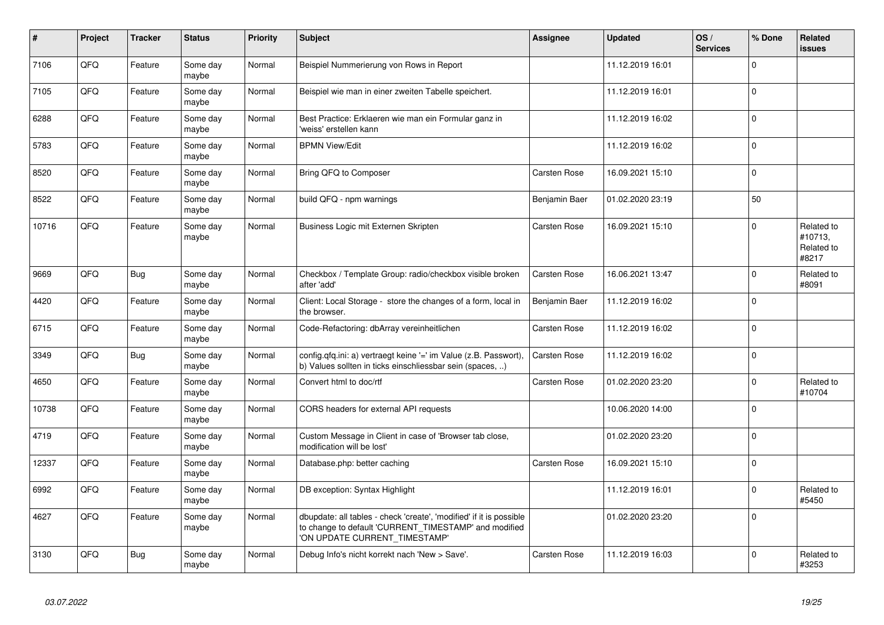| $\vert$ # | Project | <b>Tracker</b> | <b>Status</b>     | <b>Priority</b> | <b>Subject</b>                                                                                                                                                | <b>Assignee</b> | <b>Updated</b>   | OS/<br><b>Services</b> | % Done      | Related<br><b>issues</b>                     |
|-----------|---------|----------------|-------------------|-----------------|---------------------------------------------------------------------------------------------------------------------------------------------------------------|-----------------|------------------|------------------------|-------------|----------------------------------------------|
| 7106      | QFQ     | Feature        | Some day<br>maybe | Normal          | Beispiel Nummerierung von Rows in Report                                                                                                                      |                 | 11.12.2019 16:01 |                        | $\Omega$    |                                              |
| 7105      | QFQ     | Feature        | Some dav<br>maybe | Normal          | Beispiel wie man in einer zweiten Tabelle speichert.                                                                                                          |                 | 11.12.2019 16:01 |                        | $\Omega$    |                                              |
| 6288      | QFQ     | Feature        | Some day<br>maybe | Normal          | Best Practice: Erklaeren wie man ein Formular ganz in<br>'weiss' erstellen kann                                                                               |                 | 11.12.2019 16:02 |                        | $\Omega$    |                                              |
| 5783      | QFQ     | Feature        | Some day<br>maybe | Normal          | <b>BPMN View/Edit</b>                                                                                                                                         |                 | 11.12.2019 16:02 |                        | $\Omega$    |                                              |
| 8520      | QFQ     | Feature        | Some day<br>maybe | Normal          | Bring QFQ to Composer                                                                                                                                         | Carsten Rose    | 16.09.2021 15:10 |                        | $\Omega$    |                                              |
| 8522      | QFQ     | Feature        | Some day<br>maybe | Normal          | build QFQ - npm warnings                                                                                                                                      | Benjamin Baer   | 01.02.2020 23:19 |                        | 50          |                                              |
| 10716     | QFQ     | Feature        | Some day<br>maybe | Normal          | Business Logic mit Externen Skripten                                                                                                                          | Carsten Rose    | 16.09.2021 15:10 |                        | $\Omega$    | Related to<br>#10713,<br>Related to<br>#8217 |
| 9669      | QFQ     | Bug            | Some day<br>maybe | Normal          | Checkbox / Template Group: radio/checkbox visible broken<br>after 'add'                                                                                       | Carsten Rose    | 16.06.2021 13:47 |                        | $\Omega$    | Related to<br>#8091                          |
| 4420      | QFQ     | Feature        | Some day<br>maybe | Normal          | Client: Local Storage - store the changes of a form, local in<br>the browser.                                                                                 | Benjamin Baer   | 11.12.2019 16:02 |                        | $\mathbf 0$ |                                              |
| 6715      | QFQ     | Feature        | Some day<br>maybe | Normal          | Code-Refactoring: dbArray vereinheitlichen                                                                                                                    | Carsten Rose    | 11.12.2019 16:02 |                        | $\Omega$    |                                              |
| 3349      | QFQ     | Bug            | Some day<br>maybe | Normal          | config.qfq.ini: a) vertraegt keine '=' im Value (z.B. Passwort),<br>b) Values sollten in ticks einschliessbar sein (spaces, )                                 | Carsten Rose    | 11.12.2019 16:02 |                        | $\Omega$    |                                              |
| 4650      | QFQ     | Feature        | Some day<br>maybe | Normal          | Convert html to doc/rtf                                                                                                                                       | Carsten Rose    | 01.02.2020 23:20 |                        | $\mathbf 0$ | Related to<br>#10704                         |
| 10738     | QFQ     | Feature        | Some day<br>maybe | Normal          | CORS headers for external API requests                                                                                                                        |                 | 10.06.2020 14:00 |                        | $\Omega$    |                                              |
| 4719      | QFQ     | Feature        | Some day<br>maybe | Normal          | Custom Message in Client in case of 'Browser tab close,<br>modification will be lost'                                                                         |                 | 01.02.2020 23:20 |                        | $\Omega$    |                                              |
| 12337     | QFQ     | Feature        | Some day<br>maybe | Normal          | Database.php: better caching                                                                                                                                  | Carsten Rose    | 16.09.2021 15:10 |                        | $\Omega$    |                                              |
| 6992      | QFQ     | Feature        | Some day<br>maybe | Normal          | DB exception: Syntax Highlight                                                                                                                                |                 | 11.12.2019 16:01 |                        | 0           | Related to<br>#5450                          |
| 4627      | QFQ     | Feature        | Some day<br>maybe | Normal          | dbupdate: all tables - check 'create', 'modified' if it is possible<br>to change to default 'CURRENT_TIMESTAMP' and modified<br>'ON UPDATE CURRENT_TIMESTAMP' |                 | 01.02.2020 23:20 |                        | $\Omega$    |                                              |
| 3130      | QFQ     | <b>Bug</b>     | Some day<br>maybe | Normal          | Debug Info's nicht korrekt nach 'New > Save'.                                                                                                                 | Carsten Rose    | 11.12.2019 16:03 |                        | $\Omega$    | Related to<br>#3253                          |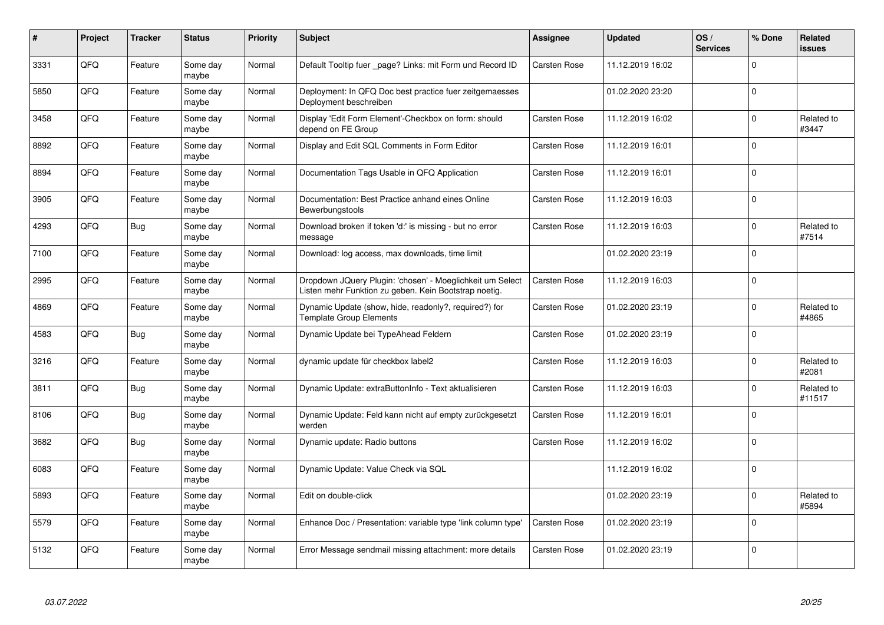| #    | Project | <b>Tracker</b> | <b>Status</b>     | <b>Priority</b> | <b>Subject</b>                                                                                                     | Assignee     | <b>Updated</b>   | OS/<br><b>Services</b> | % Done      | Related<br>issues    |
|------|---------|----------------|-------------------|-----------------|--------------------------------------------------------------------------------------------------------------------|--------------|------------------|------------------------|-------------|----------------------|
| 3331 | QFQ     | Feature        | Some day<br>maybe | Normal          | Default Tooltip fuer _page? Links: mit Form und Record ID                                                          | Carsten Rose | 11.12.2019 16:02 |                        | $\Omega$    |                      |
| 5850 | QFQ     | Feature        | Some day<br>maybe | Normal          | Deployment: In QFQ Doc best practice fuer zeitgemaesses<br>Deployment beschreiben                                  |              | 01.02.2020 23:20 |                        | $\Omega$    |                      |
| 3458 | QFQ     | Feature        | Some day<br>maybe | Normal          | Display 'Edit Form Element'-Checkbox on form: should<br>depend on FE Group                                         | Carsten Rose | 11.12.2019 16:02 |                        | $\mathbf 0$ | Related to<br>#3447  |
| 8892 | QFQ     | Feature        | Some day<br>maybe | Normal          | Display and Edit SQL Comments in Form Editor                                                                       | Carsten Rose | 11.12.2019 16:01 |                        | $\mathbf 0$ |                      |
| 8894 | QFQ     | Feature        | Some day<br>maybe | Normal          | Documentation Tags Usable in QFQ Application                                                                       | Carsten Rose | 11.12.2019 16:01 |                        | $\Omega$    |                      |
| 3905 | QFQ     | Feature        | Some day<br>maybe | Normal          | Documentation: Best Practice anhand eines Online<br>Bewerbungstools                                                | Carsten Rose | 11.12.2019 16:03 |                        | $\mathbf 0$ |                      |
| 4293 | QFQ     | Bug            | Some day<br>maybe | Normal          | Download broken if token 'd:' is missing - but no error<br>message                                                 | Carsten Rose | 11.12.2019 16:03 |                        | $\mathbf 0$ | Related to<br>#7514  |
| 7100 | QFQ     | Feature        | Some day<br>maybe | Normal          | Download: log access, max downloads, time limit                                                                    |              | 01.02.2020 23:19 |                        | $\mathbf 0$ |                      |
| 2995 | QFQ     | Feature        | Some day<br>maybe | Normal          | Dropdown JQuery Plugin: 'chosen' - Moeglichkeit um Select<br>Listen mehr Funktion zu geben. Kein Bootstrap noetig. | Carsten Rose | 11.12.2019 16:03 |                        | $\Omega$    |                      |
| 4869 | QFQ     | Feature        | Some day<br>maybe | Normal          | Dynamic Update (show, hide, readonly?, required?) for<br><b>Template Group Elements</b>                            | Carsten Rose | 01.02.2020 23:19 |                        | $\mathbf 0$ | Related to<br>#4865  |
| 4583 | QFQ     | Bug            | Some day<br>maybe | Normal          | Dynamic Update bei TypeAhead Feldern                                                                               | Carsten Rose | 01.02.2020 23:19 |                        | $\mathbf 0$ |                      |
| 3216 | QFQ     | Feature        | Some day<br>maybe | Normal          | dynamic update für checkbox label2                                                                                 | Carsten Rose | 11.12.2019 16:03 |                        | $\mathbf 0$ | Related to<br>#2081  |
| 3811 | QFQ     | Bug            | Some day<br>maybe | Normal          | Dynamic Update: extraButtonInfo - Text aktualisieren                                                               | Carsten Rose | 11.12.2019 16:03 |                        | $\mathbf 0$ | Related to<br>#11517 |
| 8106 | QFQ     | <b>Bug</b>     | Some day<br>maybe | Normal          | Dynamic Update: Feld kann nicht auf empty zurückgesetzt<br>werden                                                  | Carsten Rose | 11.12.2019 16:01 |                        | $\mathbf 0$ |                      |
| 3682 | QFQ     | Bug            | Some day<br>maybe | Normal          | Dynamic update: Radio buttons                                                                                      | Carsten Rose | 11.12.2019 16:02 |                        | $\Omega$    |                      |
| 6083 | QFQ     | Feature        | Some day<br>maybe | Normal          | Dynamic Update: Value Check via SQL                                                                                |              | 11.12.2019 16:02 |                        | $\pmb{0}$   |                      |
| 5893 | QFQ     | Feature        | Some day<br>maybe | Normal          | Edit on double-click                                                                                               |              | 01.02.2020 23:19 |                        | $\Omega$    | Related to<br>#5894  |
| 5579 | QFQ     | Feature        | Some day<br>maybe | Normal          | Enhance Doc / Presentation: variable type 'link column type'                                                       | Carsten Rose | 01.02.2020 23:19 |                        | $\mathbf 0$ |                      |
| 5132 | QFQ     | Feature        | Some day<br>maybe | Normal          | Error Message sendmail missing attachment: more details                                                            | Carsten Rose | 01.02.2020 23:19 |                        | $\mathbf 0$ |                      |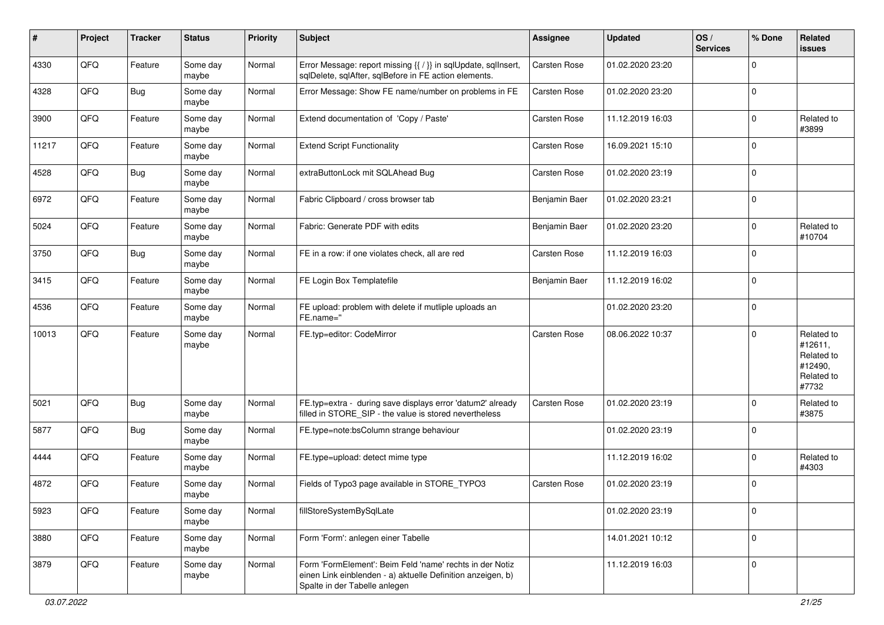| ∦     | Project | <b>Tracker</b> | <b>Status</b>     | <b>Priority</b> | <b>Subject</b>                                                                                                                                           | <b>Assignee</b> | <b>Updated</b>   | OS/<br><b>Services</b> | % Done      | Related<br>issues                                                     |
|-------|---------|----------------|-------------------|-----------------|----------------------------------------------------------------------------------------------------------------------------------------------------------|-----------------|------------------|------------------------|-------------|-----------------------------------------------------------------------|
| 4330  | QFQ     | Feature        | Some day<br>maybe | Normal          | Error Message: report missing {{ / }} in sqlUpdate, sqlInsert,<br>sqlDelete, sqlAfter, sqlBefore in FE action elements.                                  | Carsten Rose    | 01.02.2020 23:20 |                        | $\Omega$    |                                                                       |
| 4328  | QFQ     | Bug            | Some day<br>maybe | Normal          | Error Message: Show FE name/number on problems in FE                                                                                                     | Carsten Rose    | 01.02.2020 23:20 |                        | $\Omega$    |                                                                       |
| 3900  | QFQ     | Feature        | Some day<br>maybe | Normal          | Extend documentation of 'Copy / Paste'                                                                                                                   | Carsten Rose    | 11.12.2019 16:03 |                        | $\Omega$    | Related to<br>#3899                                                   |
| 11217 | QFQ     | Feature        | Some day<br>maybe | Normal          | <b>Extend Script Functionality</b>                                                                                                                       | Carsten Rose    | 16.09.2021 15:10 |                        | $\Omega$    |                                                                       |
| 4528  | QFQ     | <b>Bug</b>     | Some day<br>maybe | Normal          | extraButtonLock mit SQLAhead Bug                                                                                                                         | Carsten Rose    | 01.02.2020 23:19 |                        | $\Omega$    |                                                                       |
| 6972  | QFQ     | Feature        | Some day<br>maybe | Normal          | Fabric Clipboard / cross browser tab                                                                                                                     | Benjamin Baer   | 01.02.2020 23:21 |                        | $\Omega$    |                                                                       |
| 5024  | QFQ     | Feature        | Some day<br>maybe | Normal          | Fabric: Generate PDF with edits                                                                                                                          | Benjamin Baer   | 01.02.2020 23:20 |                        | $\Omega$    | Related to<br>#10704                                                  |
| 3750  | QFQ     | Bug            | Some day<br>maybe | Normal          | FE in a row: if one violates check, all are red                                                                                                          | Carsten Rose    | 11.12.2019 16:03 |                        | $\Omega$    |                                                                       |
| 3415  | QFQ     | Feature        | Some day<br>maybe | Normal          | FE Login Box Templatefile                                                                                                                                | Benjamin Baer   | 11.12.2019 16:02 |                        | $\mathbf 0$ |                                                                       |
| 4536  | QFQ     | Feature        | Some day<br>maybe | Normal          | FE upload: problem with delete if mutliple uploads an<br>FE.name="                                                                                       |                 | 01.02.2020 23:20 |                        | $\Omega$    |                                                                       |
| 10013 | QFQ     | Feature        | Some day<br>maybe | Normal          | FE.typ=editor: CodeMirror                                                                                                                                | Carsten Rose    | 08.06.2022 10:37 |                        | $\Omega$    | Related to<br>#12611,<br>Related to<br>#12490,<br>Related to<br>#7732 |
| 5021  | QFQ     | <b>Bug</b>     | Some day<br>maybe | Normal          | FE.typ=extra - during save displays error 'datum2' already<br>filled in STORE_SIP - the value is stored nevertheless                                     | Carsten Rose    | 01.02.2020 23:19 |                        | $\Omega$    | Related to<br>#3875                                                   |
| 5877  | QFQ     | Bug            | Some day<br>maybe | Normal          | FE.type=note:bsColumn strange behaviour                                                                                                                  |                 | 01.02.2020 23:19 |                        | $\Omega$    |                                                                       |
| 4444  | QFQ     | Feature        | Some day<br>maybe | Normal          | FE.type=upload: detect mime type                                                                                                                         |                 | 11.12.2019 16:02 |                        | $\Omega$    | Related to<br>#4303                                                   |
| 4872  | QFQ     | Feature        | Some day<br>maybe | Normal          | Fields of Typo3 page available in STORE_TYPO3                                                                                                            | Carsten Rose    | 01.02.2020 23:19 |                        | $\Omega$    |                                                                       |
| 5923  | QFO     | Feature        | Some day<br>maybe | Normal          | fillStoreSystemBySqlLate                                                                                                                                 |                 | 01.02.2020 23:19 |                        | 0           |                                                                       |
| 3880  | QFQ     | Feature        | Some day<br>maybe | Normal          | Form 'Form': anlegen einer Tabelle                                                                                                                       |                 | 14.01.2021 10:12 |                        | $\mathbf 0$ |                                                                       |
| 3879  | QFO     | Feature        | Some day<br>maybe | Normal          | Form 'FormElement': Beim Feld 'name' rechts in der Notiz<br>einen Link einblenden - a) aktuelle Definition anzeigen, b)<br>Spalte in der Tabelle anlegen |                 | 11.12.2019 16:03 |                        | $\mathbf 0$ |                                                                       |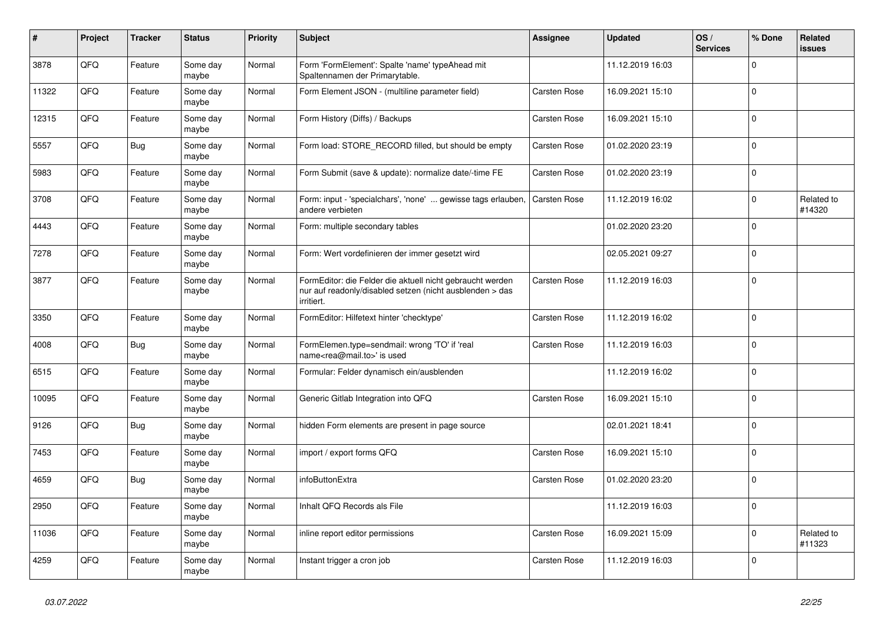| #     | Project | <b>Tracker</b> | <b>Status</b>     | <b>Priority</b> | <b>Subject</b>                                                                                                                      | Assignee     | <b>Updated</b>   | OS/<br><b>Services</b> | % Done         | Related<br><b>issues</b> |
|-------|---------|----------------|-------------------|-----------------|-------------------------------------------------------------------------------------------------------------------------------------|--------------|------------------|------------------------|----------------|--------------------------|
| 3878  | QFQ     | Feature        | Some day<br>maybe | Normal          | Form 'FormElement': Spalte 'name' typeAhead mit<br>Spaltennamen der Primarytable.                                                   |              | 11.12.2019 16:03 |                        | $\Omega$       |                          |
| 11322 | QFQ     | Feature        | Some day<br>maybe | Normal          | Form Element JSON - (multiline parameter field)                                                                                     | Carsten Rose | 16.09.2021 15:10 |                        | $\mathbf 0$    |                          |
| 12315 | QFQ     | Feature        | Some day<br>maybe | Normal          | Form History (Diffs) / Backups                                                                                                      | Carsten Rose | 16.09.2021 15:10 |                        | $\mathbf 0$    |                          |
| 5557  | QFQ     | <b>Bug</b>     | Some day<br>maybe | Normal          | Form load: STORE_RECORD filled, but should be empty                                                                                 | Carsten Rose | 01.02.2020 23:19 |                        | $\Omega$       |                          |
| 5983  | QFQ     | Feature        | Some day<br>maybe | Normal          | Form Submit (save & update): normalize date/-time FE                                                                                | Carsten Rose | 01.02.2020 23:19 |                        | $\mathbf 0$    |                          |
| 3708  | QFQ     | Feature        | Some day<br>maybe | Normal          | Form: input - 'specialchars', 'none'  gewisse tags erlauben,<br>andere verbieten                                                    | Carsten Rose | 11.12.2019 16:02 |                        | $\mathbf 0$    | Related to<br>#14320     |
| 4443  | QFQ     | Feature        | Some day<br>maybe | Normal          | Form: multiple secondary tables                                                                                                     |              | 01.02.2020 23:20 |                        | $\Omega$       |                          |
| 7278  | QFQ     | Feature        | Some day<br>maybe | Normal          | Form: Wert vordefinieren der immer gesetzt wird                                                                                     |              | 02.05.2021 09:27 |                        | $\pmb{0}$      |                          |
| 3877  | QFQ     | Feature        | Some day<br>maybe | Normal          | FormEditor: die Felder die aktuell nicht gebraucht werden<br>nur auf readonly/disabled setzen (nicht ausblenden > das<br>irritiert. | Carsten Rose | 11.12.2019 16:03 |                        | $\Omega$       |                          |
| 3350  | QFQ     | Feature        | Some day<br>maybe | Normal          | FormEditor: Hilfetext hinter 'checktype'                                                                                            | Carsten Rose | 11.12.2019 16:02 |                        | $\overline{0}$ |                          |
| 4008  | QFQ     | <b>Bug</b>     | Some day<br>maybe | Normal          | FormElemen.type=sendmail: wrong 'TO' if 'real<br>name <rea@mail.to>' is used</rea@mail.to>                                          | Carsten Rose | 11.12.2019 16:03 |                        | $\Omega$       |                          |
| 6515  | QFQ     | Feature        | Some day<br>maybe | Normal          | Formular: Felder dynamisch ein/ausblenden                                                                                           |              | 11.12.2019 16:02 |                        | $\Omega$       |                          |
| 10095 | QFQ     | Feature        | Some day<br>maybe | Normal          | Generic Gitlab Integration into QFQ                                                                                                 | Carsten Rose | 16.09.2021 15:10 |                        | $\mathbf 0$    |                          |
| 9126  | QFQ     | Bug            | Some day<br>maybe | Normal          | hidden Form elements are present in page source                                                                                     |              | 02.01.2021 18:41 |                        | $\Omega$       |                          |
| 7453  | QFQ     | Feature        | Some day<br>maybe | Normal          | import / export forms QFQ                                                                                                           | Carsten Rose | 16.09.2021 15:10 |                        | $\mathbf{0}$   |                          |
| 4659  | QFQ     | <b>Bug</b>     | Some day<br>maybe | Normal          | infoButtonExtra                                                                                                                     | Carsten Rose | 01.02.2020 23:20 |                        | $\Omega$       |                          |
| 2950  | QFQ     | Feature        | Some day<br>maybe | Normal          | Inhalt QFQ Records als File                                                                                                         |              | 11.12.2019 16:03 |                        | $\Omega$       |                          |
| 11036 | QFQ     | Feature        | Some day<br>maybe | Normal          | inline report editor permissions                                                                                                    | Carsten Rose | 16.09.2021 15:09 |                        | $\Omega$       | Related to<br>#11323     |
| 4259  | QFQ     | Feature        | Some day<br>maybe | Normal          | Instant trigger a cron job                                                                                                          | Carsten Rose | 11.12.2019 16:03 |                        | $\mathbf 0$    |                          |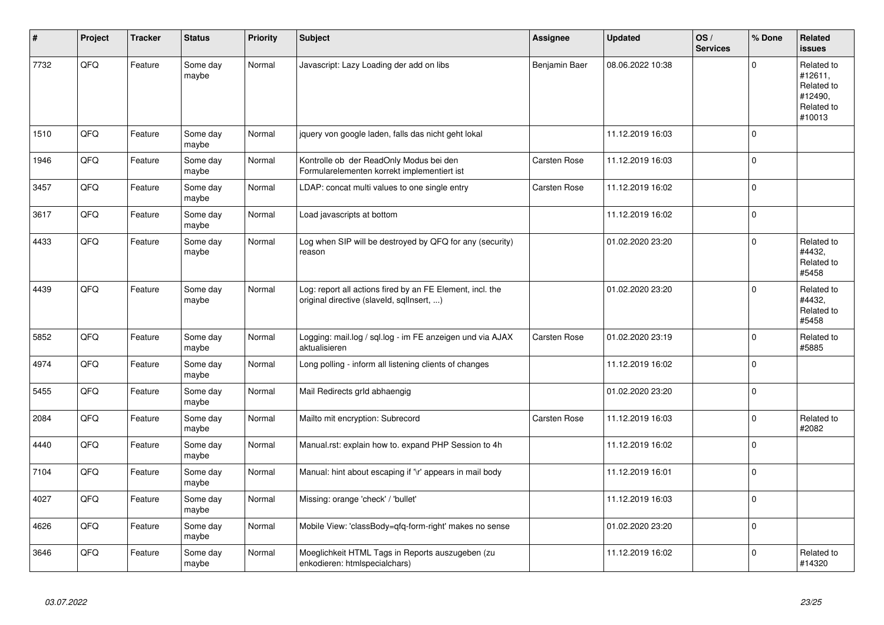| #    | Project | <b>Tracker</b> | <b>Status</b>     | <b>Priority</b> | <b>Subject</b>                                                                                         | Assignee      | <b>Updated</b>   | OS/<br><b>Services</b> | % Done      | Related<br>issues                                                      |
|------|---------|----------------|-------------------|-----------------|--------------------------------------------------------------------------------------------------------|---------------|------------------|------------------------|-------------|------------------------------------------------------------------------|
| 7732 | QFQ     | Feature        | Some day<br>maybe | Normal          | Javascript: Lazy Loading der add on libs                                                               | Benjamin Baer | 08.06.2022 10:38 |                        | $\mathbf 0$ | Related to<br>#12611.<br>Related to<br>#12490,<br>Related to<br>#10013 |
| 1510 | QFQ     | Feature        | Some day<br>maybe | Normal          | jquery von google laden, falls das nicht geht lokal                                                    |               | 11.12.2019 16:03 |                        | $\mathbf 0$ |                                                                        |
| 1946 | QFQ     | Feature        | Some day<br>maybe | Normal          | Kontrolle ob der ReadOnly Modus bei den<br>Formularelementen korrekt implementiert ist                 | Carsten Rose  | 11.12.2019 16:03 |                        | $\pmb{0}$   |                                                                        |
| 3457 | QFQ     | Feature        | Some day<br>maybe | Normal          | LDAP: concat multi values to one single entry                                                          | Carsten Rose  | 11.12.2019 16:02 |                        | $\mathbf 0$ |                                                                        |
| 3617 | QFQ     | Feature        | Some day<br>maybe | Normal          | Load javascripts at bottom                                                                             |               | 11.12.2019 16:02 |                        | $\mathbf 0$ |                                                                        |
| 4433 | QFQ     | Feature        | Some day<br>maybe | Normal          | Log when SIP will be destroyed by QFQ for any (security)<br>reason                                     |               | 01.02.2020 23:20 |                        | $\mathbf 0$ | Related to<br>#4432,<br>Related to<br>#5458                            |
| 4439 | QFQ     | Feature        | Some day<br>maybe | Normal          | Log: report all actions fired by an FE Element, incl. the<br>original directive (slaveld, sqlInsert, ) |               | 01.02.2020 23:20 |                        | $\mathbf 0$ | Related to<br>#4432,<br>Related to<br>#5458                            |
| 5852 | QFQ     | Feature        | Some day<br>maybe | Normal          | Logging: mail.log / sql.log - im FE anzeigen und via AJAX<br>aktualisieren                             | Carsten Rose  | 01.02.2020 23:19 |                        | $\mathbf 0$ | Related to<br>#5885                                                    |
| 4974 | QFQ     | Feature        | Some day<br>maybe | Normal          | Long polling - inform all listening clients of changes                                                 |               | 11.12.2019 16:02 |                        | $\Omega$    |                                                                        |
| 5455 | QFQ     | Feature        | Some day<br>maybe | Normal          | Mail Redirects grld abhaengig                                                                          |               | 01.02.2020 23:20 |                        | $\pmb{0}$   |                                                                        |
| 2084 | QFQ     | Feature        | Some day<br>maybe | Normal          | Mailto mit encryption: Subrecord                                                                       | Carsten Rose  | 11.12.2019 16:03 |                        | $\pmb{0}$   | Related to<br>#2082                                                    |
| 4440 | QFQ     | Feature        | Some day<br>maybe | Normal          | Manual.rst: explain how to. expand PHP Session to 4h                                                   |               | 11.12.2019 16:02 |                        | $\pmb{0}$   |                                                                        |
| 7104 | QFQ     | Feature        | Some day<br>maybe | Normal          | Manual: hint about escaping if '\r' appears in mail body                                               |               | 11.12.2019 16:01 |                        | $\mathbf 0$ |                                                                        |
| 4027 | QFQ     | Feature        | Some day<br>maybe | Normal          | Missing: orange 'check' / 'bullet'                                                                     |               | 11.12.2019 16:03 |                        | $\mathbf 0$ |                                                                        |
| 4626 | QFQ     | Feature        | Some day<br>maybe | Normal          | Mobile View: 'classBody=qfq-form-right' makes no sense                                                 |               | 01.02.2020 23:20 |                        | $\pmb{0}$   |                                                                        |
| 3646 | QFQ     | Feature        | Some day<br>maybe | Normal          | Moeglichkeit HTML Tags in Reports auszugeben (zu<br>enkodieren: htmlspecialchars)                      |               | 11.12.2019 16:02 |                        | $\mathbf 0$ | Related to<br>#14320                                                   |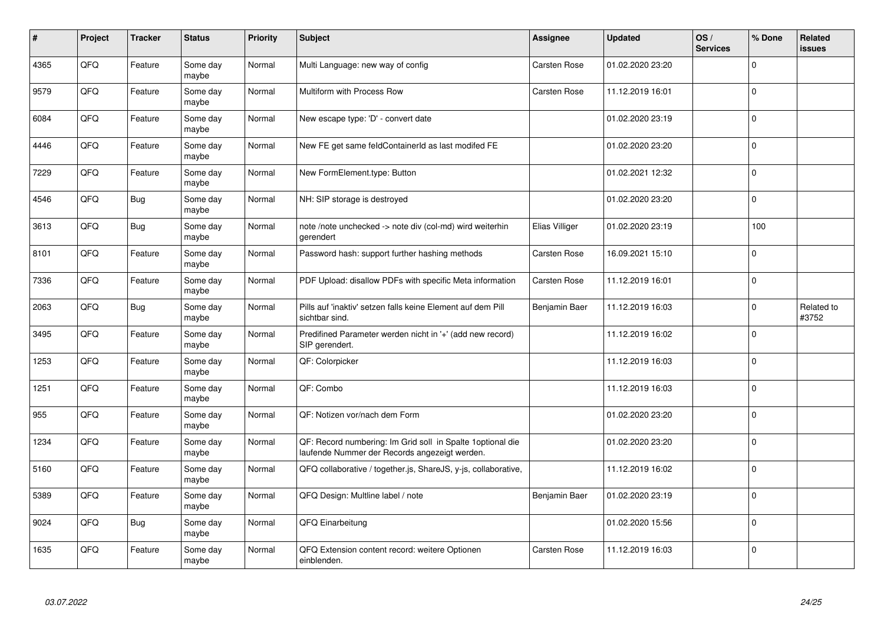| $\sharp$ | Project | <b>Tracker</b> | <b>Status</b>     | <b>Priority</b> | <b>Subject</b>                                                                                               | Assignee       | <b>Updated</b>   | OS/<br><b>Services</b> | % Done         | Related<br><b>issues</b> |
|----------|---------|----------------|-------------------|-----------------|--------------------------------------------------------------------------------------------------------------|----------------|------------------|------------------------|----------------|--------------------------|
| 4365     | QFQ     | Feature        | Some day<br>maybe | Normal          | Multi Language: new way of config                                                                            | Carsten Rose   | 01.02.2020 23:20 |                        | $\Omega$       |                          |
| 9579     | QFQ     | Feature        | Some day<br>maybe | Normal          | Multiform with Process Row                                                                                   | Carsten Rose   | 11.12.2019 16:01 |                        | $\mathbf{0}$   |                          |
| 6084     | QFQ     | Feature        | Some day<br>maybe | Normal          | New escape type: 'D' - convert date                                                                          |                | 01.02.2020 23:19 |                        | $\overline{0}$ |                          |
| 4446     | QFQ     | Feature        | Some day<br>maybe | Normal          | New FE get same feldContainerId as last modifed FE                                                           |                | 01.02.2020 23:20 |                        | $\Omega$       |                          |
| 7229     | QFQ     | Feature        | Some day<br>maybe | Normal          | New FormElement.type: Button                                                                                 |                | 01.02.2021 12:32 |                        | $\overline{0}$ |                          |
| 4546     | QFQ     | <b>Bug</b>     | Some day<br>maybe | Normal          | NH: SIP storage is destroyed                                                                                 |                | 01.02.2020 23:20 |                        | $\mathbf{0}$   |                          |
| 3613     | QFQ     | <b>Bug</b>     | Some day<br>maybe | Normal          | note /note unchecked -> note div (col-md) wird weiterhin<br>gerendert                                        | Elias Villiger | 01.02.2020 23:19 |                        | 100            |                          |
| 8101     | QFQ     | Feature        | Some day<br>maybe | Normal          | Password hash: support further hashing methods                                                               | Carsten Rose   | 16.09.2021 15:10 |                        | $\Omega$       |                          |
| 7336     | QFQ     | Feature        | Some day<br>maybe | Normal          | PDF Upload: disallow PDFs with specific Meta information                                                     | Carsten Rose   | 11.12.2019 16:01 |                        | $\mathbf{0}$   |                          |
| 2063     | QFQ     | <b>Bug</b>     | Some day<br>maybe | Normal          | Pills auf 'inaktiv' setzen falls keine Element auf dem Pill<br>sichtbar sind.                                | Benjamin Baer  | 11.12.2019 16:03 |                        | $\pmb{0}$      | Related to<br>#3752      |
| 3495     | QFQ     | Feature        | Some day<br>maybe | Normal          | Predifined Parameter werden nicht in '+' (add new record)<br>SIP gerendert.                                  |                | 11.12.2019 16:02 |                        | $\Omega$       |                          |
| 1253     | QFQ     | Feature        | Some day<br>maybe | Normal          | QF: Colorpicker                                                                                              |                | 11.12.2019 16:03 |                        | $\mathbf 0$    |                          |
| 1251     | QFQ     | Feature        | Some day<br>maybe | Normal          | QF: Combo                                                                                                    |                | 11.12.2019 16:03 |                        | $\overline{0}$ |                          |
| 955      | QFQ     | Feature        | Some day<br>maybe | Normal          | QF: Notizen vor/nach dem Form                                                                                |                | 01.02.2020 23:20 |                        | $\pmb{0}$      |                          |
| 1234     | QFQ     | Feature        | Some day<br>maybe | Normal          | QF: Record numbering: Im Grid soll in Spalte 1 optional die<br>laufende Nummer der Records angezeigt werden. |                | 01.02.2020 23:20 |                        | $\Omega$       |                          |
| 5160     | QFQ     | Feature        | Some day<br>maybe | Normal          | QFQ collaborative / together.js, ShareJS, y-js, collaborative,                                               |                | 11.12.2019 16:02 |                        | $\overline{0}$ |                          |
| 5389     | QFQ     | Feature        | Some day<br>maybe | Normal          | QFQ Design: Multline label / note                                                                            | Benjamin Baer  | 01.02.2020 23:19 |                        | $\overline{0}$ |                          |
| 9024     | QFQ     | <b>Bug</b>     | Some day<br>maybe | Normal          | QFQ Einarbeitung                                                                                             |                | 01.02.2020 15:56 |                        | $\pmb{0}$      |                          |
| 1635     | QFQ     | Feature        | Some day<br>maybe | Normal          | QFQ Extension content record: weitere Optionen<br>einblenden.                                                | Carsten Rose   | 11.12.2019 16:03 |                        | $\Omega$       |                          |